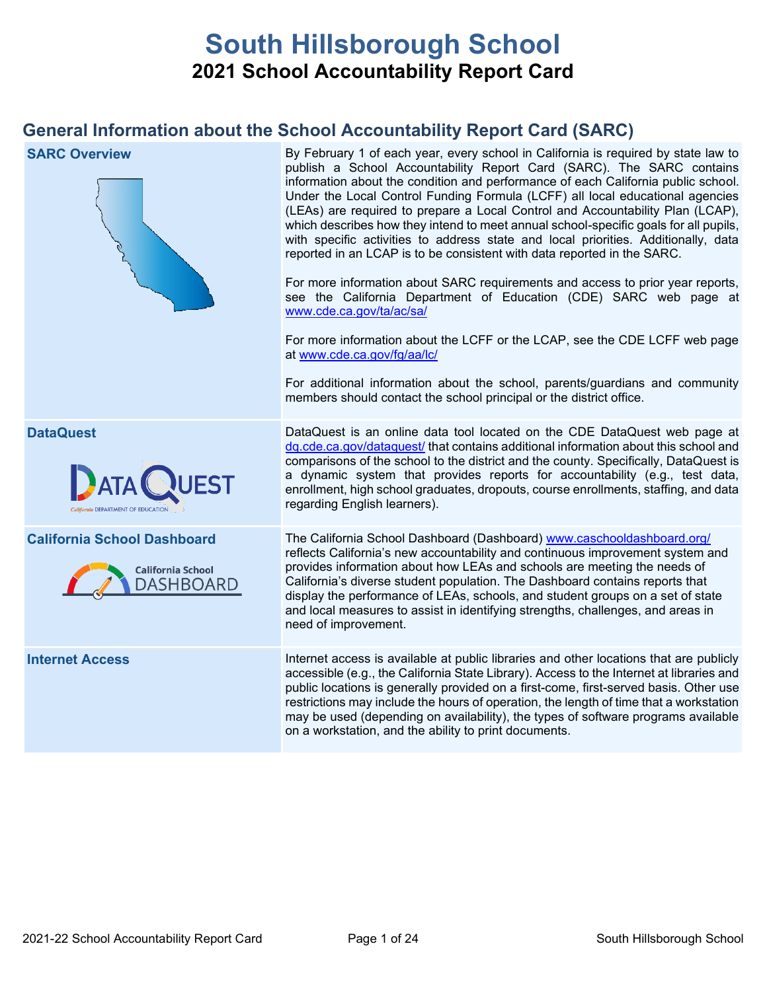# **South Hillsborough School 2021 School Accountability Report Card**

## **General Information about the School Accountability Report Card (SARC)**

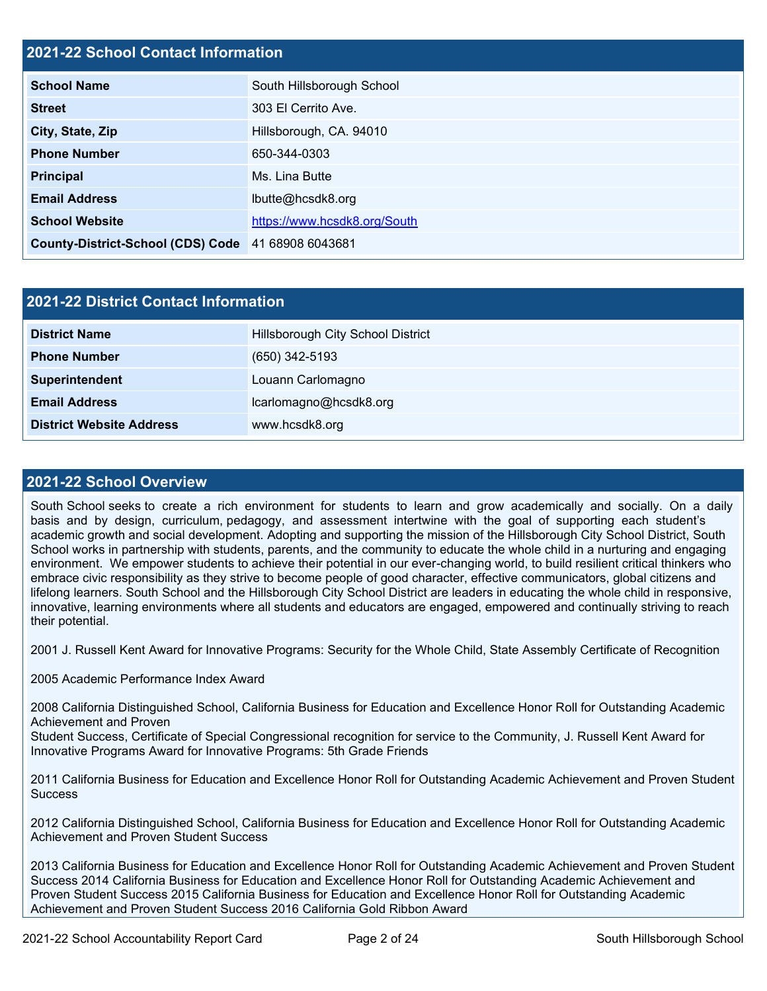### **2021-22 School Contact Information**

| <b>School Name</b>                                 | South Hillsborough School    |
|----------------------------------------------------|------------------------------|
| <b>Street</b>                                      | 303 El Cerrito Ave.          |
| City, State, Zip                                   | Hillsborough, CA. 94010      |
| <b>Phone Number</b>                                | 650-344-0303                 |
| <b>Principal</b>                                   | Ms. Lina Butte               |
| <b>Email Address</b>                               | lbutte@hcsdk8.org            |
| <b>School Website</b>                              | https://www.hcsdk8.org/South |
| County-District-School (CDS) Code 41 68908 6043681 |                              |

| 2021-22 District Contact Information |                                   |  |  |  |
|--------------------------------------|-----------------------------------|--|--|--|
| <b>District Name</b>                 | Hillsborough City School District |  |  |  |
| <b>Phone Number</b>                  | $(650)$ 342-5193                  |  |  |  |
| Superintendent                       | Louann Carlomagno                 |  |  |  |
| <b>Email Address</b>                 | lcarlomagno@hcsdk8.org            |  |  |  |
| <b>District Website Address</b>      | www.hcsdk8.org                    |  |  |  |

### **2021-22 School Overview**

South School seeks to create a rich environment for students to learn and grow academically and socially. On a daily basis and by design, curriculum, pedagogy, and assessment intertwine with the goal of supporting each student's academic growth and social development. Adopting and supporting the mission of the Hillsborough City School District, South School works in partnership with students, parents, and the community to educate the whole child in a nurturing and engaging environment. We empower students to achieve their potential in our ever-changing world, to build resilient critical thinkers who embrace civic responsibility as they strive to become people of good character, effective communicators, global citizens and lifelong learners. South School and the Hillsborough City School District are leaders in educating the whole child in responsive, innovative, learning environments where all students and educators are engaged, empowered and continually striving to reach their potential.

2001 J. Russell Kent Award for Innovative Programs: Security for the Whole Child, State Assembly Certificate of Recognition

2005 Academic Performance Index Award

2008 California Distinguished School, California Business for Education and Excellence Honor Roll for Outstanding Academic Achievement and Proven

Student Success, Certificate of Special Congressional recognition for service to the Community, J. Russell Kent Award for Innovative Programs Award for Innovative Programs: 5th Grade Friends

2011 California Business for Education and Excellence Honor Roll for Outstanding Academic Achievement and Proven Student **Success** 

2012 California Distinguished School, California Business for Education and Excellence Honor Roll for Outstanding Academic Achievement and Proven Student Success

2013 California Business for Education and Excellence Honor Roll for Outstanding Academic Achievement and Proven Student Success 2014 California Business for Education and Excellence Honor Roll for Outstanding Academic Achievement and Proven Student Success 2015 California Business for Education and Excellence Honor Roll for Outstanding Academic Achievement and Proven Student Success 2016 California Gold Ribbon Award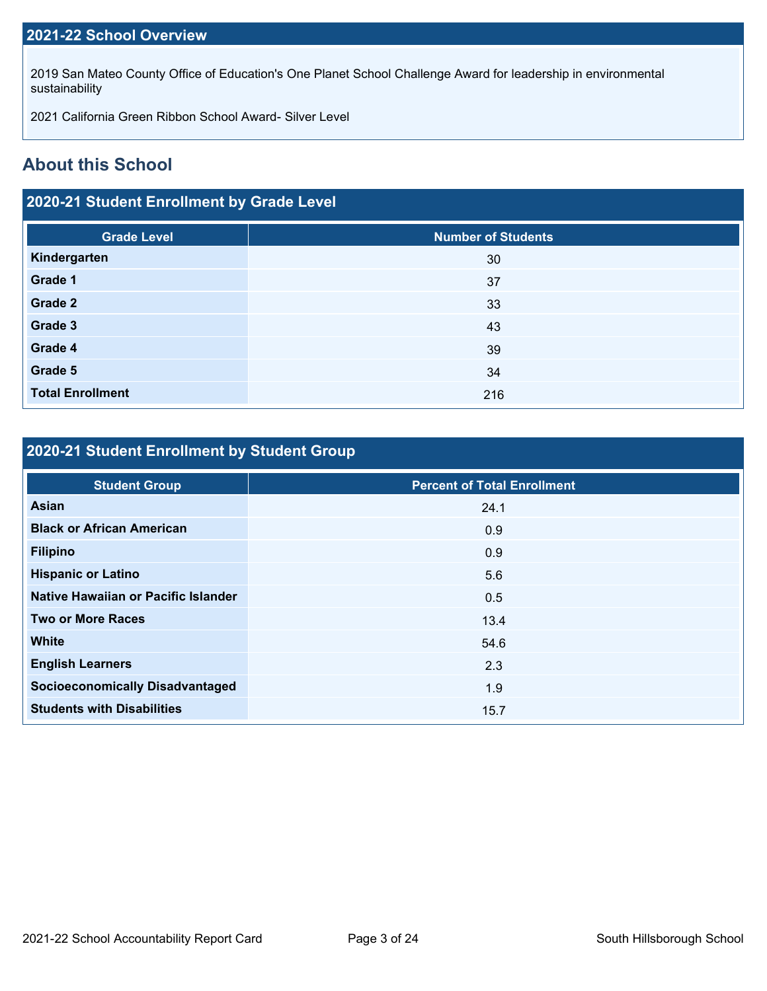### **2021-22 School Overview**

2019 San Mateo County Office of Education's One Planet School Challenge Award for leadership in environmental sustainability

2021 California Green Ribbon School Award- Silver Level

### **About this School**

### **2020-21 Student Enrollment by Grade Level**

| <b>Grade Level</b>      | <b>Number of Students</b> |
|-------------------------|---------------------------|
| Kindergarten            | 30                        |
| Grade 1                 | 37                        |
| Grade 2                 | 33                        |
| Grade 3                 | 43                        |
| Grade 4                 | 39                        |
| Grade 5                 | 34                        |
| <b>Total Enrollment</b> | 216                       |

## **2020-21 Student Enrollment by Student Group**

| <b>Student Group</b>                   | <b>Percent of Total Enrollment</b> |
|----------------------------------------|------------------------------------|
| Asian                                  | 24.1                               |
| <b>Black or African American</b>       | 0.9                                |
| <b>Filipino</b>                        | 0.9                                |
| <b>Hispanic or Latino</b>              | 5.6                                |
| Native Hawaiian or Pacific Islander    | 0.5                                |
| <b>Two or More Races</b>               | 13.4                               |
| <b>White</b>                           | 54.6                               |
| <b>English Learners</b>                | 2.3                                |
| <b>Socioeconomically Disadvantaged</b> | 1.9                                |
| <b>Students with Disabilities</b>      | 15.7                               |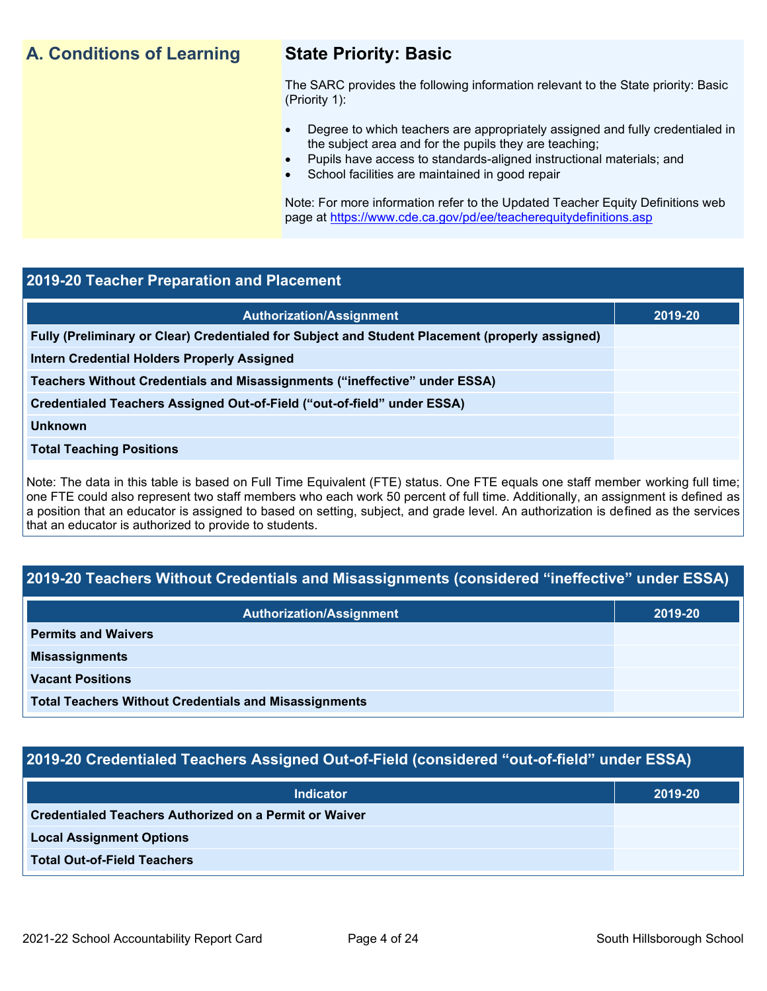## **A. Conditions of Learning State Priority: Basic**

The SARC provides the following information relevant to the State priority: Basic (Priority 1):

- Degree to which teachers are appropriately assigned and fully credentialed in the subject area and for the pupils they are teaching;
	- Pupils have access to standards-aligned instructional materials; and
- School facilities are maintained in good repair

Note: For more information refer to the Updated Teacher Equity Definitions web page at<https://www.cde.ca.gov/pd/ee/teacherequitydefinitions.asp>

### **2019-20 Teacher Preparation and Placement**

| <b>Authorization/Assignment</b>                                                                 | 2019-20 |
|-------------------------------------------------------------------------------------------------|---------|
| Fully (Preliminary or Clear) Credentialed for Subject and Student Placement (properly assigned) |         |
| Intern Credential Holders Properly Assigned                                                     |         |
| Teachers Without Credentials and Misassignments ("ineffective" under ESSA)                      |         |
| Credentialed Teachers Assigned Out-of-Field ("out-of-field" under ESSA)                         |         |
| <b>Unknown</b>                                                                                  |         |
| <b>Total Teaching Positions</b>                                                                 |         |
|                                                                                                 |         |

Note: The data in this table is based on Full Time Equivalent (FTE) status. One FTE equals one staff member working full time; one FTE could also represent two staff members who each work 50 percent of full time. Additionally, an assignment is defined as a position that an educator is assigned to based on setting, subject, and grade level. An authorization is defined as the services that an educator is authorized to provide to students.

### **2019-20 Teachers Without Credentials and Misassignments (considered "ineffective" under ESSA)**

| <b>Authorization/Assignment</b>                              | 2019-20 |
|--------------------------------------------------------------|---------|
| <b>Permits and Waivers</b>                                   |         |
| <b>Misassignments</b>                                        |         |
| <b>Vacant Positions</b>                                      |         |
| <b>Total Teachers Without Credentials and Misassignments</b> |         |

### **2019-20 Credentialed Teachers Assigned Out-of-Field (considered "out-of-field" under ESSA)**

| <b>Indicator</b>                                              | 2019-20 |
|---------------------------------------------------------------|---------|
| <b>Credentialed Teachers Authorized on a Permit or Waiver</b> |         |
| <b>Local Assignment Options</b>                               |         |
| <b>Total Out-of-Field Teachers</b>                            |         |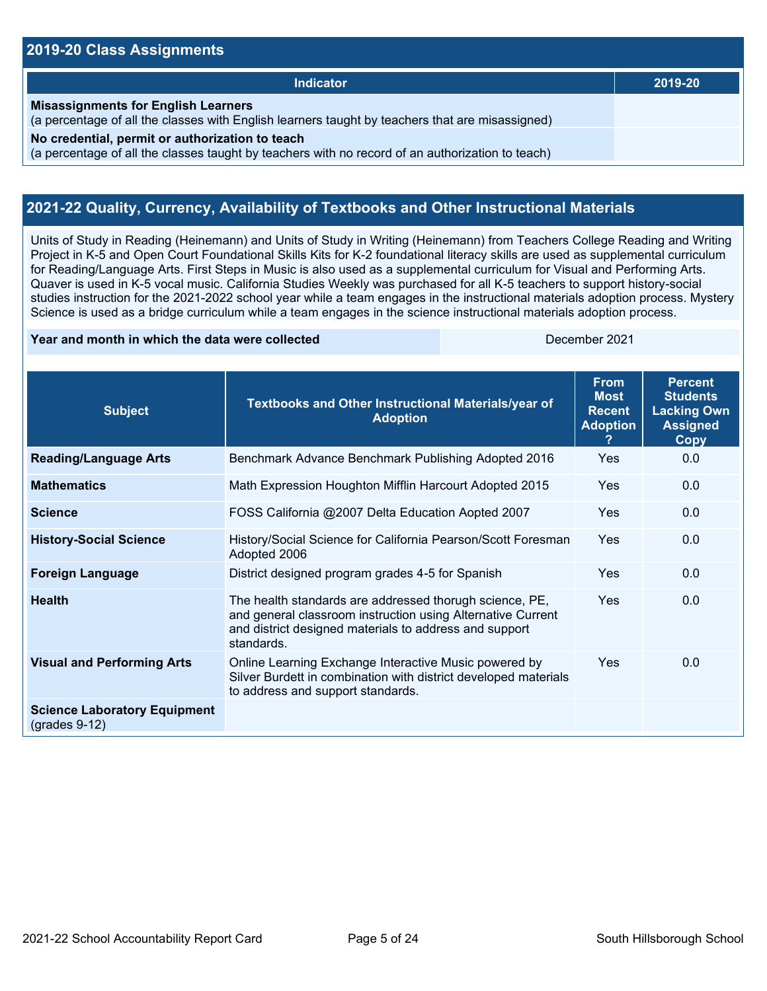### **2019-20 Class Assignments**

| Indicator                                                                                                                                           | 2019-20 |
|-----------------------------------------------------------------------------------------------------------------------------------------------------|---------|
| <b>Misassignments for English Learners</b><br>(a percentage of all the classes with English learners taught by teachers that are misassigned)       |         |
| No credential, permit or authorization to teach<br>(a percentage of all the classes taught by teachers with no record of an authorization to teach) |         |

### **2021-22 Quality, Currency, Availability of Textbooks and Other Instructional Materials**

Units of Study in Reading (Heinemann) and Units of Study in Writing (Heinemann) from Teachers College Reading and Writing Project in K-5 and Open Court Foundational Skills Kits for K-2 foundational literacy skills are used as supplemental curriculum for Reading/Language Arts. First Steps in Music is also used as a supplemental curriculum for Visual and Performing Arts. Quaver is used in K-5 vocal music. California Studies Weekly was purchased for all K-5 teachers to support history-social studies instruction for the 2021-2022 school year while a team engages in the instructional materials adoption process. Mystery Science is used as a bridge curriculum while a team engages in the science instructional materials adoption process.

### **Year and month in which the data were collected** December 2021

| <b>Subject</b>                                         | Textbooks and Other Instructional Materials/year of<br><b>Adoption</b>                                                                                                                         | <b>From</b><br><b>Most</b><br><b>Recent</b><br><b>Adoption</b><br>2 | <b>Percent</b><br><b>Students</b><br><b>Lacking Own</b><br><b>Assigned</b><br>Copy |
|--------------------------------------------------------|------------------------------------------------------------------------------------------------------------------------------------------------------------------------------------------------|---------------------------------------------------------------------|------------------------------------------------------------------------------------|
| <b>Reading/Language Arts</b>                           | Benchmark Advance Benchmark Publishing Adopted 2016                                                                                                                                            | Yes                                                                 | 0.0                                                                                |
| <b>Mathematics</b>                                     | Math Expression Houghton Mifflin Harcourt Adopted 2015                                                                                                                                         | Yes                                                                 | 0.0                                                                                |
| <b>Science</b>                                         | FOSS California @2007 Delta Education Aopted 2007                                                                                                                                              | Yes                                                                 | 0.0                                                                                |
| <b>History-Social Science</b>                          | History/Social Science for California Pearson/Scott Foresman<br>Adopted 2006                                                                                                                   | Yes                                                                 | 0.0                                                                                |
| <b>Foreign Language</b>                                | District designed program grades 4-5 for Spanish                                                                                                                                               | Yes                                                                 | 0.0                                                                                |
| <b>Health</b>                                          | The health standards are addressed thorugh science, PE,<br>and general classroom instruction using Alternative Current<br>and district designed materials to address and support<br>standards. | Yes                                                                 | 0.0                                                                                |
| <b>Visual and Performing Arts</b>                      | Online Learning Exchange Interactive Music powered by<br>Silver Burdett in combination with district developed materials<br>to address and support standards.                                  | Yes                                                                 | 0.0                                                                                |
| <b>Science Laboratory Equipment</b><br>$(grades 9-12)$ |                                                                                                                                                                                                |                                                                     |                                                                                    |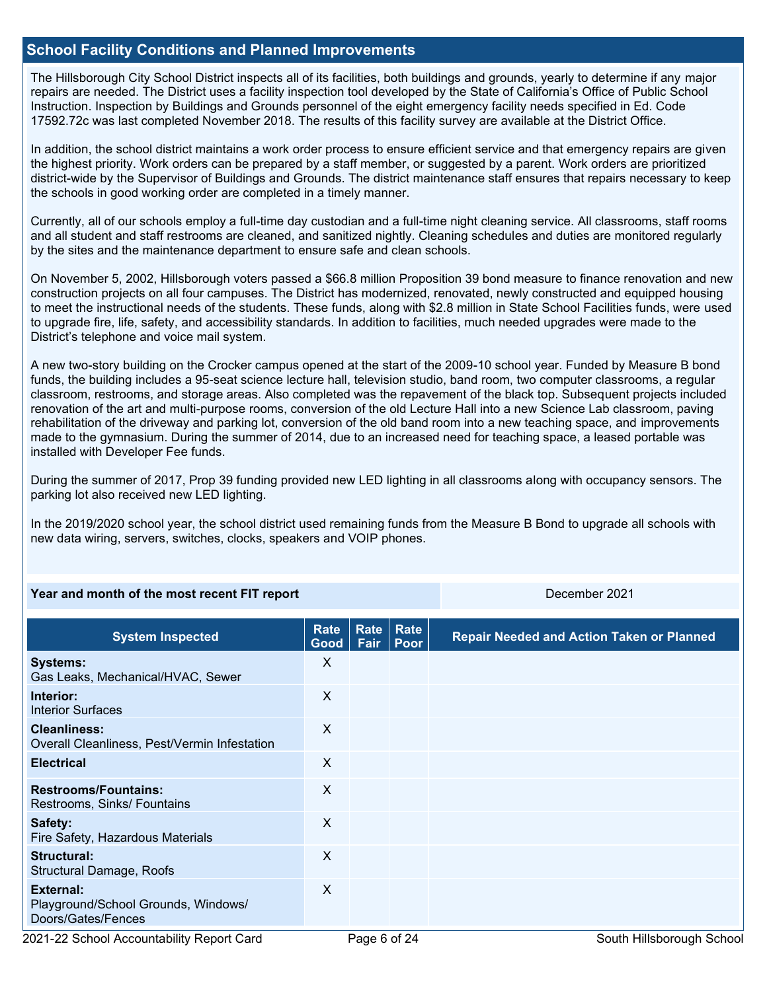### **School Facility Conditions and Planned Improvements**

The Hillsborough City School District inspects all of its facilities, both buildings and grounds, yearly to determine if any major repairs are needed. The District uses a facility inspection tool developed by the State of California's Office of Public School Instruction. Inspection by Buildings and Grounds personnel of the eight emergency facility needs specified in Ed. Code 17592.72c was last completed November 2018. The results of this facility survey are available at the District Office.

In addition, the school district maintains a work order process to ensure efficient service and that emergency repairs are given the highest priority. Work orders can be prepared by a staff member, or suggested by a parent. Work orders are prioritized district-wide by the Supervisor of Buildings and Grounds. The district maintenance staff ensures that repairs necessary to keep the schools in good working order are completed in a timely manner.

Currently, all of our schools employ a full-time day custodian and a full-time night cleaning service. All classrooms, staff rooms and all student and staff restrooms are cleaned, and sanitized nightly. Cleaning schedules and duties are monitored regularly by the sites and the maintenance department to ensure safe and clean schools.

On November 5, 2002, Hillsborough voters passed a \$66.8 million Proposition 39 bond measure to finance renovation and new construction projects on all four campuses. The District has modernized, renovated, newly constructed and equipped housing to meet the instructional needs of the students. These funds, along with \$2.8 million in State School Facilities funds, were used to upgrade fire, life, safety, and accessibility standards. In addition to facilities, much needed upgrades were made to the District's telephone and voice mail system.

A new two-story building on the Crocker campus opened at the start of the 2009-10 school year. Funded by Measure B bond funds, the building includes a 95-seat science lecture hall, television studio, band room, two computer classrooms, a regular classroom, restrooms, and storage areas. Also completed was the repavement of the black top. Subsequent projects included renovation of the art and multi-purpose rooms, conversion of the old Lecture Hall into a new Science Lab classroom, paving rehabilitation of the driveway and parking lot, conversion of the old band room into a new teaching space, and improvements made to the gymnasium. During the summer of 2014, due to an increased need for teaching space, a leased portable was installed with Developer Fee funds.

During the summer of 2017, Prop 39 funding provided new LED lighting in all classrooms along with occupancy sensors. The parking lot also received new LED lighting.

In the 2019/2020 school year, the school district used remaining funds from the Measure B Bond to upgrade all schools with new data wiring, servers, switches, clocks, speakers and VOIP phones.

### **Year and month of the most recent FIT report** December 2021

| <b>System Inspected</b>                                                | Rate<br>Good | <b>Rate</b><br>Fair | Rate<br>Poor | <b>Repair Needed and Action Taken or Planned</b> |
|------------------------------------------------------------------------|--------------|---------------------|--------------|--------------------------------------------------|
| <b>Systems:</b><br>Gas Leaks, Mechanical/HVAC, Sewer                   | X            |                     |              |                                                  |
| Interior:<br><b>Interior Surfaces</b>                                  | X            |                     |              |                                                  |
| <b>Cleanliness:</b><br>Overall Cleanliness, Pest/Vermin Infestation    | X            |                     |              |                                                  |
| <b>Electrical</b>                                                      | X            |                     |              |                                                  |
| <b>Restrooms/Fountains:</b><br>Restrooms, Sinks/ Fountains             | X            |                     |              |                                                  |
| Safety:<br>Fire Safety, Hazardous Materials                            | $\sf X$      |                     |              |                                                  |
| Structural:<br>Structural Damage, Roofs                                | $\sf X$      |                     |              |                                                  |
| External:<br>Playground/School Grounds, Windows/<br>Doors/Gates/Fences | X            |                     |              |                                                  |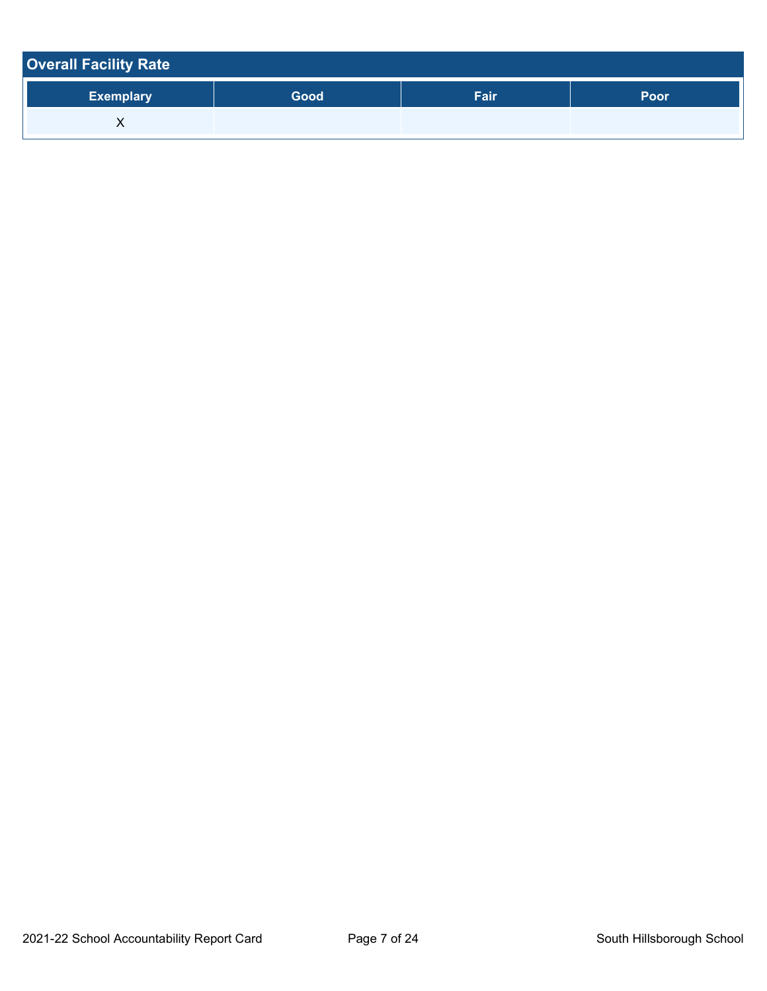| <b>Overall Facility Rate</b> |      |      |      |
|------------------------------|------|------|------|
| <b>Exemplary</b>             | Good | Fair | Poor |
| ⋏                            |      |      |      |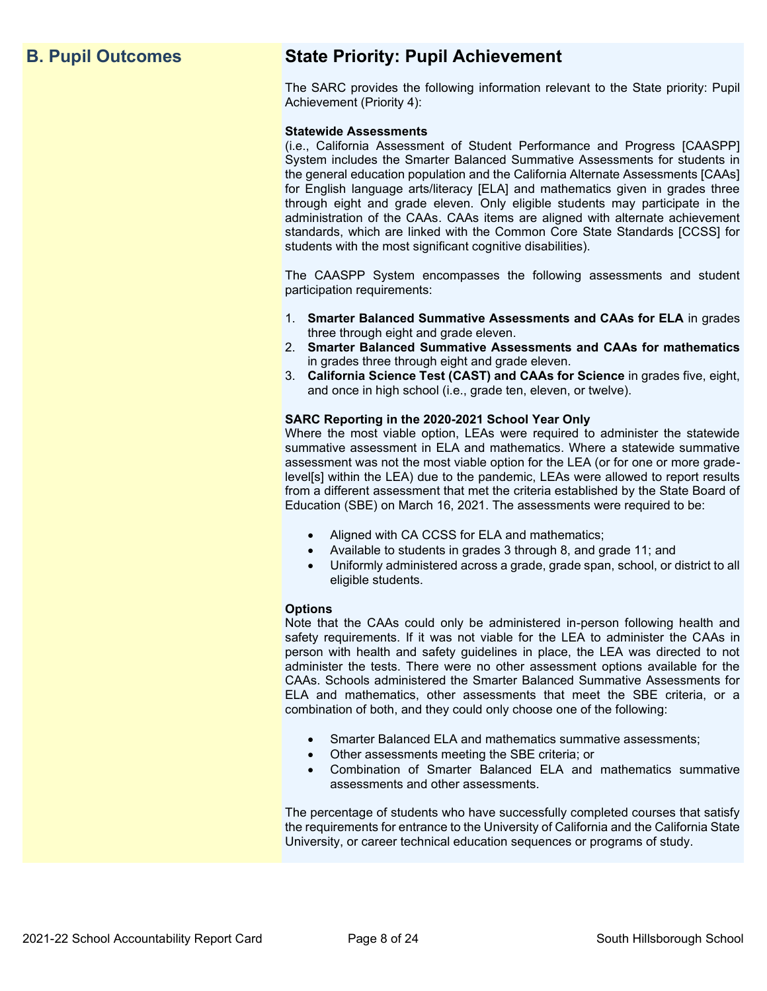## **B. Pupil Outcomes State Priority: Pupil Achievement**

The SARC provides the following information relevant to the State priority: Pupil Achievement (Priority 4):

### **Statewide Assessments**

(i.e., California Assessment of Student Performance and Progress [CAASPP] System includes the Smarter Balanced Summative Assessments for students in the general education population and the California Alternate Assessments [CAAs] for English language arts/literacy [ELA] and mathematics given in grades three through eight and grade eleven. Only eligible students may participate in the administration of the CAAs. CAAs items are aligned with alternate achievement standards, which are linked with the Common Core State Standards [CCSS] for students with the most significant cognitive disabilities).

The CAASPP System encompasses the following assessments and student participation requirements:

- 1. **Smarter Balanced Summative Assessments and CAAs for ELA** in grades three through eight and grade eleven.
- 2. **Smarter Balanced Summative Assessments and CAAs for mathematics** in grades three through eight and grade eleven.
- 3. **California Science Test (CAST) and CAAs for Science** in grades five, eight, and once in high school (i.e., grade ten, eleven, or twelve).

### **SARC Reporting in the 2020-2021 School Year Only**

Where the most viable option, LEAs were required to administer the statewide summative assessment in ELA and mathematics. Where a statewide summative assessment was not the most viable option for the LEA (or for one or more gradelevel[s] within the LEA) due to the pandemic, LEAs were allowed to report results from a different assessment that met the criteria established by the State Board of Education (SBE) on March 16, 2021. The assessments were required to be:

- Aligned with CA CCSS for ELA and mathematics;
- Available to students in grades 3 through 8, and grade 11; and
- Uniformly administered across a grade, grade span, school, or district to all eligible students.

### **Options**

Note that the CAAs could only be administered in-person following health and safety requirements. If it was not viable for the LEA to administer the CAAs in person with health and safety guidelines in place, the LEA was directed to not administer the tests. There were no other assessment options available for the CAAs. Schools administered the Smarter Balanced Summative Assessments for ELA and mathematics, other assessments that meet the SBE criteria, or a combination of both, and they could only choose one of the following:

- Smarter Balanced ELA and mathematics summative assessments;
- Other assessments meeting the SBE criteria; or
- Combination of Smarter Balanced ELA and mathematics summative assessments and other assessments.

The percentage of students who have successfully completed courses that satisfy the requirements for entrance to the University of California and the California State University, or career technical education sequences or programs of study.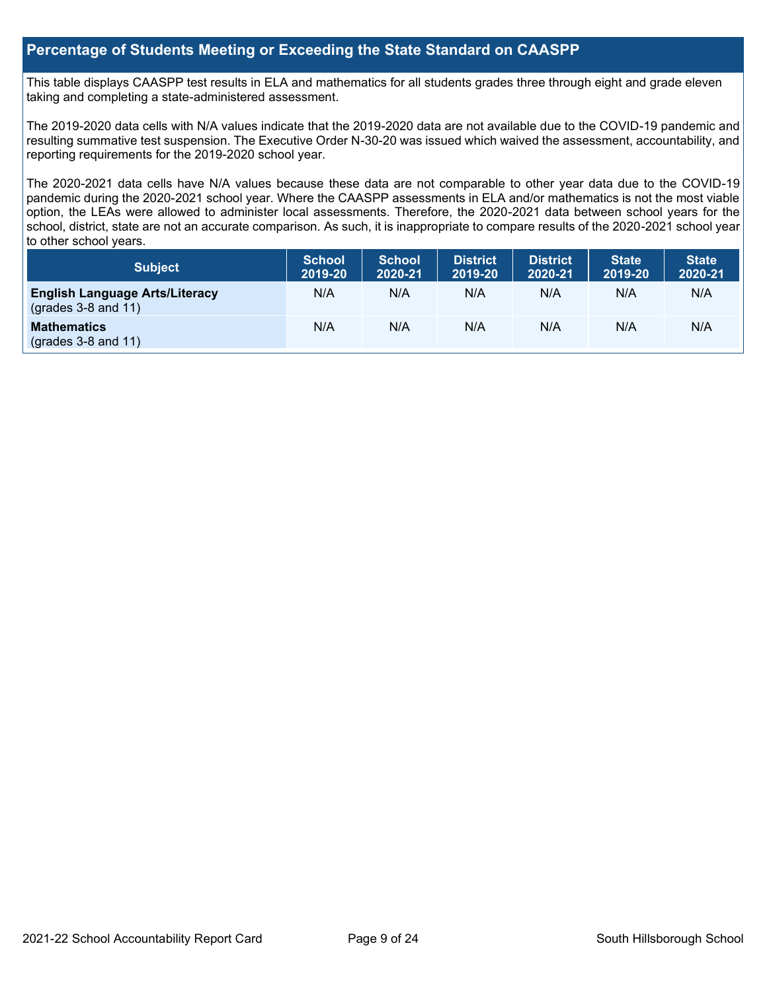### **Percentage of Students Meeting or Exceeding the State Standard on CAASPP**

This table displays CAASPP test results in ELA and mathematics for all students grades three through eight and grade eleven taking and completing a state-administered assessment.

The 2019-2020 data cells with N/A values indicate that the 2019-2020 data are not available due to the COVID-19 pandemic and resulting summative test suspension. The Executive Order N-30-20 was issued which waived the assessment, accountability, and reporting requirements for the 2019-2020 school year.

The 2020-2021 data cells have N/A values because these data are not comparable to other year data due to the COVID-19 pandemic during the 2020-2021 school year. Where the CAASPP assessments in ELA and/or mathematics is not the most viable option, the LEAs were allowed to administer local assessments. Therefore, the 2020-2021 data between school years for the school, district, state are not an accurate comparison. As such, it is inappropriate to compare results of the 2020-2021 school year to other school years.

| Subject                                                              | <b>School</b><br>2019-20 | <b>School</b><br>2020-21 | <b>District</b><br>2019-20 | <b>District</b><br>2020-21 | <b>State</b><br>2019-20 | <b>State</b><br>2020-21 |
|----------------------------------------------------------------------|--------------------------|--------------------------|----------------------------|----------------------------|-------------------------|-------------------------|
| <b>English Language Arts/Literacy</b><br>$\left($ grades 3-8 and 11) | N/A                      | N/A                      | N/A                        | N/A                        | N/A                     | N/A                     |
| <b>Mathematics</b><br>$(grades 3-8 and 11)$                          | N/A                      | N/A                      | N/A                        | N/A                        | N/A                     | N/A                     |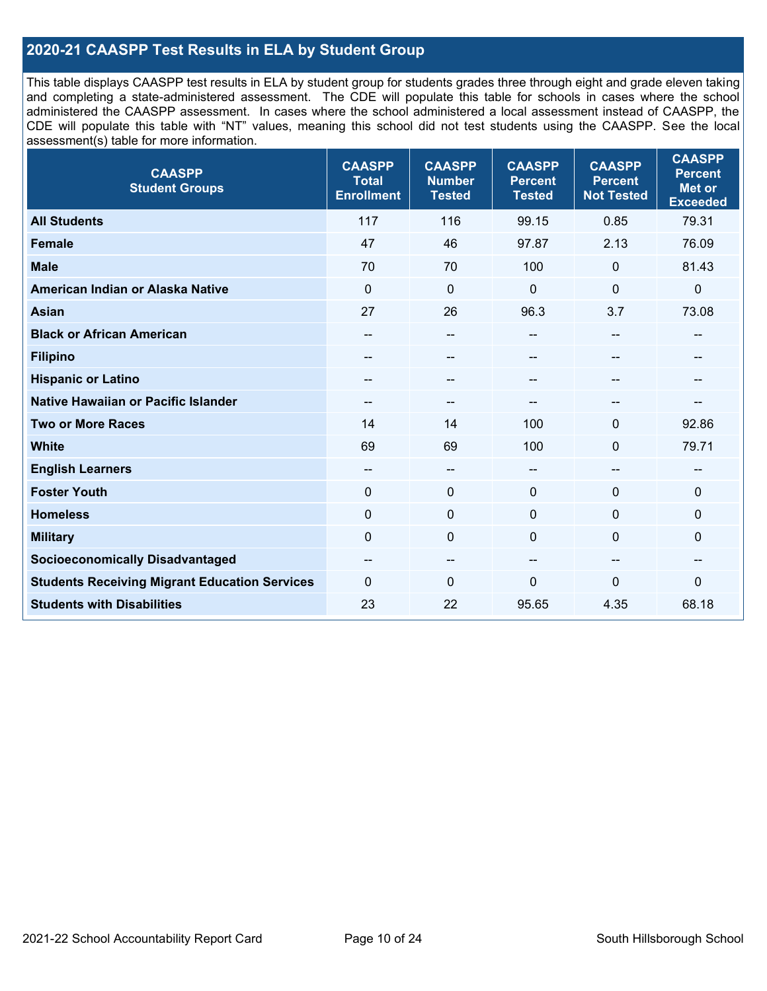### **2020-21 CAASPP Test Results in ELA by Student Group**

This table displays CAASPP test results in ELA by student group for students grades three through eight and grade eleven taking and completing a state-administered assessment. The CDE will populate this table for schools in cases where the school administered the CAASPP assessment. In cases where the school administered a local assessment instead of CAASPP, the CDE will populate this table with "NT" values, meaning this school did not test students using the CAASPP. See the local assessment(s) table for more information.

| <b>CAASPP</b><br><b>Student Groups</b>               | <b>CAASPP</b><br><b>Total</b><br><b>Enrollment</b> | <b>CAASPP</b><br><b>Number</b><br><b>Tested</b> | <b>CAASPP</b><br><b>Percent</b><br><b>Tested</b> | <b>CAASPP</b><br><b>Percent</b><br><b>Not Tested</b> | <b>CAASPP</b><br><b>Percent</b><br><b>Met or</b><br><b>Exceeded</b> |
|------------------------------------------------------|----------------------------------------------------|-------------------------------------------------|--------------------------------------------------|------------------------------------------------------|---------------------------------------------------------------------|
| <b>All Students</b>                                  | 117                                                | 116                                             | 99.15                                            | 0.85                                                 | 79.31                                                               |
| <b>Female</b>                                        | 47                                                 | 46                                              | 97.87                                            | 2.13                                                 | 76.09                                                               |
| <b>Male</b>                                          | 70                                                 | 70                                              | 100                                              | $\mathbf{0}$                                         | 81.43                                                               |
| American Indian or Alaska Native                     | $\mathbf 0$                                        | $\mathbf 0$                                     | $\mathbf{0}$                                     | $\mathbf 0$                                          | 0                                                                   |
| <b>Asian</b>                                         | 27                                                 | 26                                              | 96.3                                             | 3.7                                                  | 73.08                                                               |
| <b>Black or African American</b>                     | $\qquad \qquad -$                                  | $\overline{\phantom{a}}$                        | --                                               | $\overline{a}$                                       | --                                                                  |
| <b>Filipino</b>                                      | $- -$                                              | $\sim$                                          |                                                  | --                                                   | --                                                                  |
| <b>Hispanic or Latino</b>                            | --                                                 | $\overline{\phantom{m}}$                        | --                                               | $\sim$                                               | --                                                                  |
| <b>Native Hawaiian or Pacific Islander</b>           | $\qquad \qquad -$                                  | $\overline{\phantom{a}}$                        | --                                               | $\overline{\phantom{a}}$                             |                                                                     |
| <b>Two or More Races</b>                             | 14                                                 | 14                                              | 100                                              | $\Omega$                                             | 92.86                                                               |
| <b>White</b>                                         | 69                                                 | 69                                              | 100                                              | $\Omega$                                             | 79.71                                                               |
| <b>English Learners</b>                              | $- -$                                              | $\overline{\phantom{a}}$                        | $-$                                              | $\overline{a}$                                       | --                                                                  |
| <b>Foster Youth</b>                                  | $\mathbf 0$                                        | $\mathbf 0$                                     | $\mathbf{0}$                                     | $\mathbf 0$                                          | $\Omega$                                                            |
| <b>Homeless</b>                                      | $\mathbf 0$                                        | $\pmb{0}$                                       | $\mathbf 0$                                      | $\mathbf 0$                                          | 0                                                                   |
| <b>Military</b>                                      | $\mathbf 0$                                        | $\pmb{0}$                                       | $\mathbf{0}$                                     | $\mathbf 0$                                          | 0                                                                   |
| <b>Socioeconomically Disadvantaged</b>               | --                                                 | $\overline{\phantom{m}}$                        | --                                               | --                                                   | --                                                                  |
| <b>Students Receiving Migrant Education Services</b> | $\Omega$                                           | $\mathbf 0$                                     | $\Omega$                                         | $\mathbf{0}$                                         | 0                                                                   |
| <b>Students with Disabilities</b>                    | 23                                                 | 22                                              | 95.65                                            | 4.35                                                 | 68.18                                                               |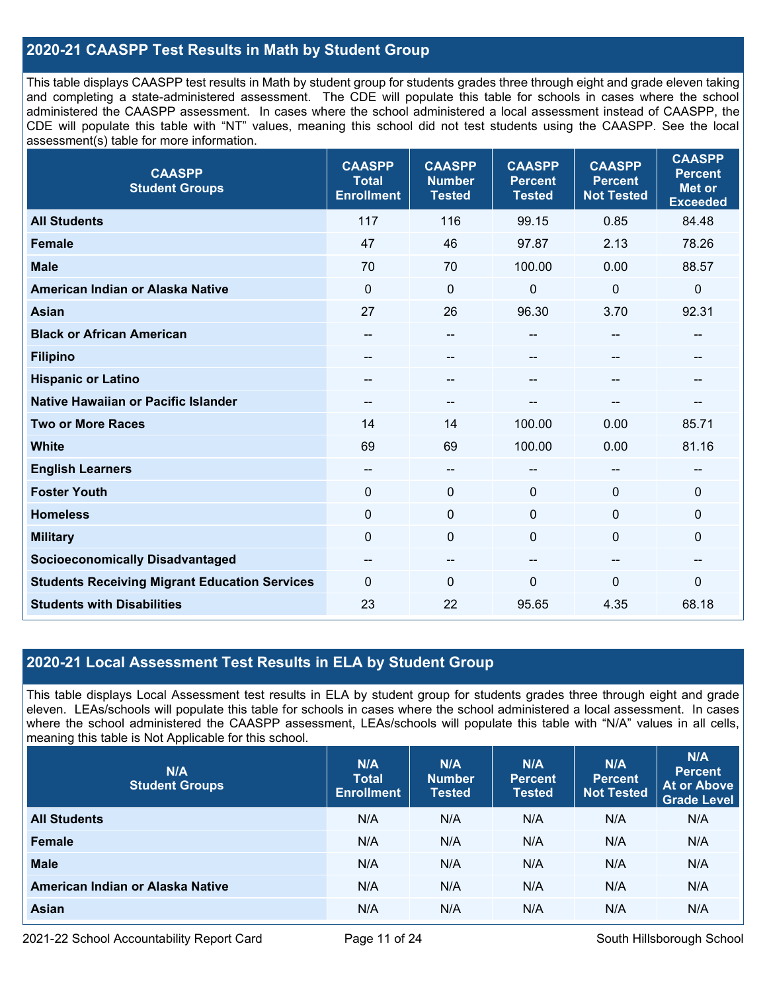### **2020-21 CAASPP Test Results in Math by Student Group**

This table displays CAASPP test results in Math by student group for students grades three through eight and grade eleven taking and completing a state-administered assessment. The CDE will populate this table for schools in cases where the school administered the CAASPP assessment. In cases where the school administered a local assessment instead of CAASPP, the CDE will populate this table with "NT" values, meaning this school did not test students using the CAASPP. See the local assessment(s) table for more information.

| <b>CAASPP</b><br><b>Student Groups</b>               | <b>CAASPP</b><br><b>Total</b><br><b>Enrollment</b> | <b>CAASPP</b><br><b>Number</b><br><b>Tested</b> | <b>CAASPP</b><br><b>Percent</b><br><b>Tested</b> | <b>CAASPP</b><br><b>Percent</b><br><b>Not Tested</b> | <b>CAASPP</b><br><b>Percent</b><br><b>Met or</b><br><b>Exceeded</b> |
|------------------------------------------------------|----------------------------------------------------|-------------------------------------------------|--------------------------------------------------|------------------------------------------------------|---------------------------------------------------------------------|
| <b>All Students</b>                                  | 117                                                | 116                                             | 99.15                                            | 0.85                                                 | 84.48                                                               |
| Female                                               | 47                                                 | 46                                              | 97.87                                            | 2.13                                                 | 78.26                                                               |
| <b>Male</b>                                          | 70                                                 | 70                                              | 100.00                                           | 0.00                                                 | 88.57                                                               |
| American Indian or Alaska Native                     | $\mathbf 0$                                        | $\mathbf 0$                                     | 0                                                | $\mathbf 0$                                          | $\mathbf 0$                                                         |
| <b>Asian</b>                                         | 27                                                 | 26                                              | 96.30                                            | 3.70                                                 | 92.31                                                               |
| <b>Black or African American</b>                     | --                                                 | --                                              | --                                               | $\overline{\phantom{a}}$                             | $\hspace{0.05cm}$                                                   |
| <b>Filipino</b>                                      |                                                    | --                                              | --                                               |                                                      |                                                                     |
| <b>Hispanic or Latino</b>                            |                                                    | --                                              | --                                               |                                                      | --                                                                  |
| <b>Native Hawaiian or Pacific Islander</b>           | --                                                 | --                                              | --                                               |                                                      | --                                                                  |
| <b>Two or More Races</b>                             | 14                                                 | 14                                              | 100.00                                           | 0.00                                                 | 85.71                                                               |
| <b>White</b>                                         | 69                                                 | 69                                              | 100.00                                           | 0.00                                                 | 81.16                                                               |
| <b>English Learners</b>                              | --                                                 | --                                              | --                                               |                                                      | --                                                                  |
| <b>Foster Youth</b>                                  | $\mathbf 0$                                        | $\mathbf 0$                                     | $\Omega$                                         | $\Omega$                                             | $\mathbf 0$                                                         |
| <b>Homeless</b>                                      | $\mathbf 0$                                        | $\mathbf 0$                                     | $\mathbf 0$                                      | $\Omega$                                             | $\mathbf 0$                                                         |
| <b>Military</b>                                      | $\mathbf 0$                                        | $\pmb{0}$                                       | 0                                                | $\Omega$                                             | $\pmb{0}$                                                           |
| <b>Socioeconomically Disadvantaged</b>               | --                                                 | --                                              | --                                               | --                                                   | --                                                                  |
| <b>Students Receiving Migrant Education Services</b> | $\mathbf{0}$                                       | 0                                               | 0                                                | $\Omega$                                             | $\mathbf 0$                                                         |
| <b>Students with Disabilities</b>                    | 23                                                 | 22                                              | 95.65                                            | 4.35                                                 | 68.18                                                               |

### **2020-21 Local Assessment Test Results in ELA by Student Group**

This table displays Local Assessment test results in ELA by student group for students grades three through eight and grade eleven. LEAs/schools will populate this table for schools in cases where the school administered a local assessment. In cases where the school administered the CAASPP assessment, LEAs/schools will populate this table with "N/A" values in all cells, meaning this table is Not Applicable for this school.

| N/A<br><b>Student Groups</b>     | N/A<br><b>Total</b><br><b>Enrollment</b> | N/A<br><b>Number</b><br><b>Tested</b> | N/A<br><b>Percent</b><br><b>Tested</b> | N/A<br>Percent<br><b>Not Tested</b> | N/A<br><b>Percent</b><br><b>At or Above</b><br><b>Grade Level</b> |
|----------------------------------|------------------------------------------|---------------------------------------|----------------------------------------|-------------------------------------|-------------------------------------------------------------------|
| <b>All Students</b>              | N/A                                      | N/A                                   | N/A                                    | N/A                                 | N/A                                                               |
| Female                           | N/A                                      | N/A                                   | N/A                                    | N/A                                 | N/A                                                               |
| <b>Male</b>                      | N/A                                      | N/A                                   | N/A                                    | N/A                                 | N/A                                                               |
| American Indian or Alaska Native | N/A                                      | N/A                                   | N/A                                    | N/A                                 | N/A                                                               |
| <b>Asian</b>                     | N/A                                      | N/A                                   | N/A                                    | N/A                                 | N/A                                                               |

2021-22 School Accountability Report Card **Page 11 of 24** South Hillsborough School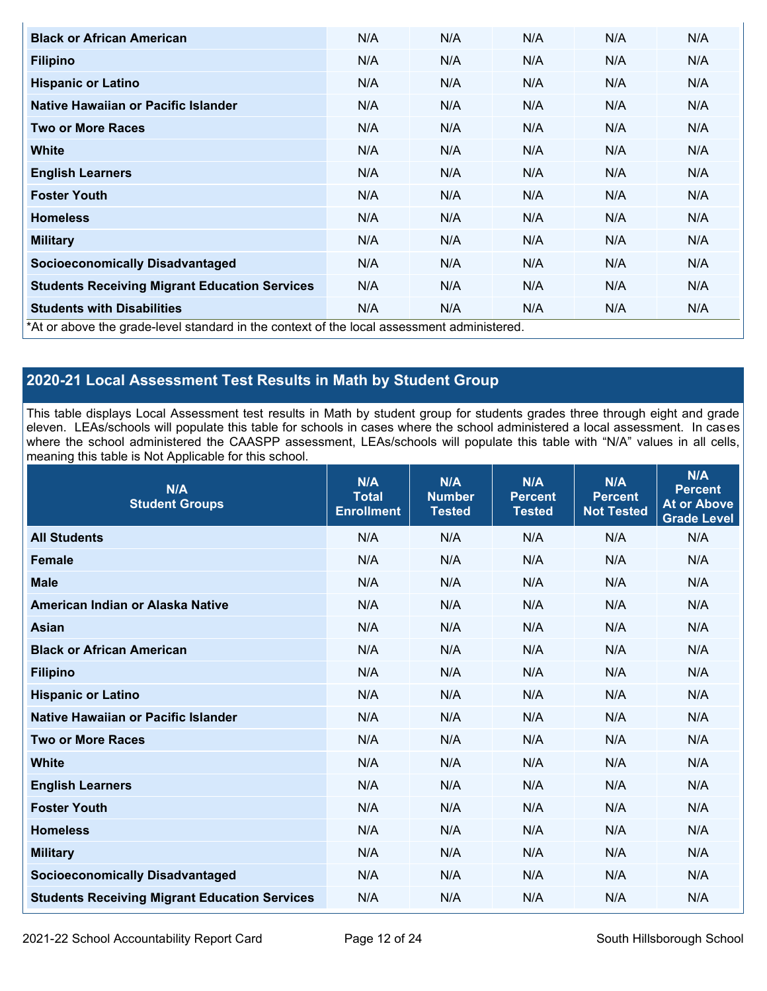| <b>Black or African American</b>                                                           | N/A | N/A | N/A | N/A | N/A |
|--------------------------------------------------------------------------------------------|-----|-----|-----|-----|-----|
| <b>Filipino</b>                                                                            | N/A | N/A | N/A | N/A | N/A |
| <b>Hispanic or Latino</b>                                                                  | N/A | N/A | N/A | N/A | N/A |
| Native Hawaiian or Pacific Islander                                                        | N/A | N/A | N/A | N/A | N/A |
| <b>Two or More Races</b>                                                                   | N/A | N/A | N/A | N/A | N/A |
| <b>White</b>                                                                               | N/A | N/A | N/A | N/A | N/A |
| <b>English Learners</b>                                                                    | N/A | N/A | N/A | N/A | N/A |
| <b>Foster Youth</b>                                                                        | N/A | N/A | N/A | N/A | N/A |
| <b>Homeless</b>                                                                            | N/A | N/A | N/A | N/A | N/A |
| <b>Military</b>                                                                            | N/A | N/A | N/A | N/A | N/A |
| <b>Socioeconomically Disadvantaged</b>                                                     | N/A | N/A | N/A | N/A | N/A |
| <b>Students Receiving Migrant Education Services</b>                                       | N/A | N/A | N/A | N/A | N/A |
| <b>Students with Disabilities</b>                                                          | N/A | N/A | N/A | N/A | N/A |
| *At or above the grade-level standard in the context of the local assessment administered. |     |     |     |     |     |

### **2020-21 Local Assessment Test Results in Math by Student Group**

This table displays Local Assessment test results in Math by student group for students grades three through eight and grade eleven. LEAs/schools will populate this table for schools in cases where the school administered a local assessment. In cases where the school administered the CAASPP assessment, LEAs/schools will populate this table with "N/A" values in all cells, meaning this table is Not Applicable for this school.

| N/A<br><b>Student Groups</b>                         | N/A<br><b>Total</b><br><b>Enrollment</b> | N/A<br><b>Number</b><br><b>Tested</b> | N/A<br><b>Percent</b><br><b>Tested</b> | N/A<br><b>Percent</b><br><b>Not Tested</b> | N/A<br><b>Percent</b><br><b>At or Above</b><br><b>Grade Level</b> |
|------------------------------------------------------|------------------------------------------|---------------------------------------|----------------------------------------|--------------------------------------------|-------------------------------------------------------------------|
| <b>All Students</b>                                  | N/A                                      | N/A                                   | N/A                                    | N/A                                        | N/A                                                               |
| <b>Female</b>                                        | N/A                                      | N/A                                   | N/A                                    | N/A                                        | N/A                                                               |
| <b>Male</b>                                          | N/A                                      | N/A                                   | N/A                                    | N/A                                        | N/A                                                               |
| American Indian or Alaska Native                     | N/A                                      | N/A                                   | N/A                                    | N/A                                        | N/A                                                               |
| <b>Asian</b>                                         | N/A                                      | N/A                                   | N/A                                    | N/A                                        | N/A                                                               |
| <b>Black or African American</b>                     | N/A                                      | N/A                                   | N/A                                    | N/A                                        | N/A                                                               |
| <b>Filipino</b>                                      | N/A                                      | N/A                                   | N/A                                    | N/A                                        | N/A                                                               |
| <b>Hispanic or Latino</b>                            | N/A                                      | N/A                                   | N/A                                    | N/A                                        | N/A                                                               |
| Native Hawaiian or Pacific Islander                  | N/A                                      | N/A                                   | N/A                                    | N/A                                        | N/A                                                               |
| <b>Two or More Races</b>                             | N/A                                      | N/A                                   | N/A                                    | N/A                                        | N/A                                                               |
| <b>White</b>                                         | N/A                                      | N/A                                   | N/A                                    | N/A                                        | N/A                                                               |
| <b>English Learners</b>                              | N/A                                      | N/A                                   | N/A                                    | N/A                                        | N/A                                                               |
| <b>Foster Youth</b>                                  | N/A                                      | N/A                                   | N/A                                    | N/A                                        | N/A                                                               |
| <b>Homeless</b>                                      | N/A                                      | N/A                                   | N/A                                    | N/A                                        | N/A                                                               |
| <b>Military</b>                                      | N/A                                      | N/A                                   | N/A                                    | N/A                                        | N/A                                                               |
| <b>Socioeconomically Disadvantaged</b>               | N/A                                      | N/A                                   | N/A                                    | N/A                                        | N/A                                                               |
| <b>Students Receiving Migrant Education Services</b> | N/A                                      | N/A                                   | N/A                                    | N/A                                        | N/A                                                               |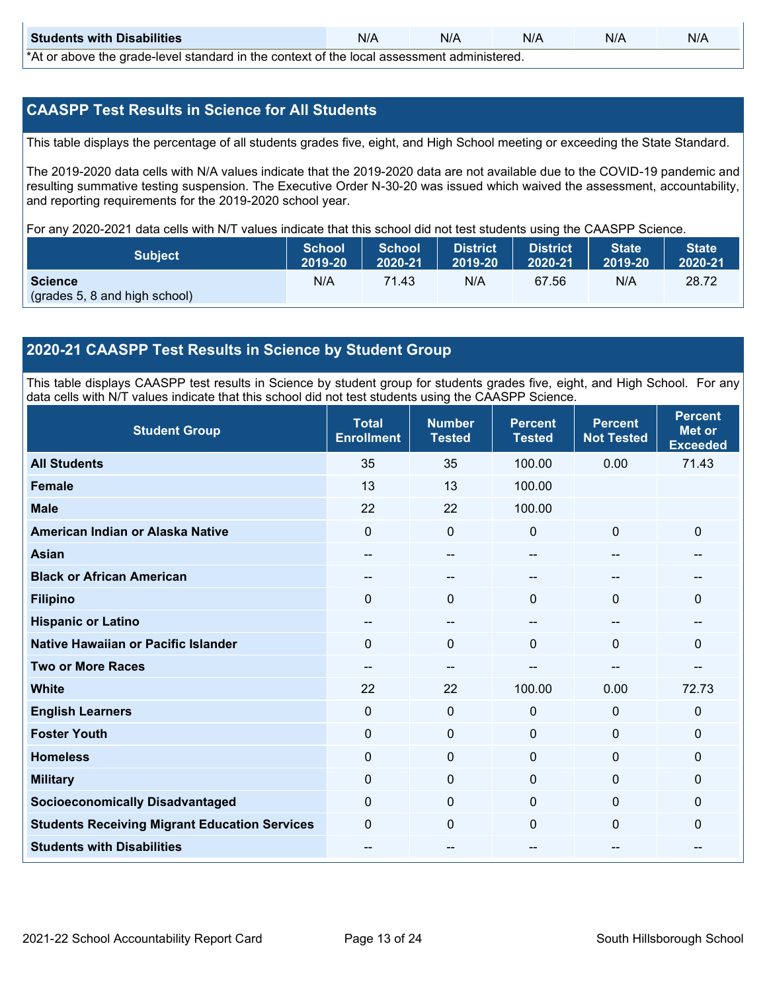| <b>Students with Disabilities</b>                                                           | N/A | N/A | N/A | N/A | N/A |  |
|---------------------------------------------------------------------------------------------|-----|-----|-----|-----|-----|--|
| *At as above the escale level standard in the context of the local accordinate admissioned. |     |     |     |     |     |  |

\*At or above the grade-level standard in the context of the local assessment administered.

### **CAASPP Test Results in Science for All Students**

This table displays the percentage of all students grades five, eight, and High School meeting or exceeding the State Standard.

The 2019-2020 data cells with N/A values indicate that the 2019-2020 data are not available due to the COVID-19 pandemic and resulting summative testing suspension. The Executive Order N-30-20 was issued which waived the assessment, accountability, and reporting requirements for the 2019-2020 school year.

For any 2020-2021 data cells with N/T values indicate that this school did not test students using the CAASPP Science.

| <b>Subject</b>                                  | <b>School</b> | <b>School</b> | <b>District</b> | <b>District</b> | <b>State</b> | <b>State</b> |
|-------------------------------------------------|---------------|---------------|-----------------|-----------------|--------------|--------------|
|                                                 | 2019-20       | 2020-21       | 2019-20         | 2020-21         | 2019-20      | 2020-21      |
| <b>Science</b><br>(grades 5, 8 and high school) | N/A           | 71.43         | N/A             | 67.56           | N/A          | 28.72        |

### **2020-21 CAASPP Test Results in Science by Student Group**

This table displays CAASPP test results in Science by student group for students grades five, eight, and High School. For any data cells with N/T values indicate that this school did not test students using the CAASPP Science.

| <b>Student Group</b>                                 | <b>Total</b><br><b>Enrollment</b> | <b>Number</b><br><b>Tested</b> | <b>Percent</b><br><b>Tested</b> | <b>Percent</b><br><b>Not Tested</b> | <b>Percent</b><br><b>Met or</b><br><b>Exceeded</b> |
|------------------------------------------------------|-----------------------------------|--------------------------------|---------------------------------|-------------------------------------|----------------------------------------------------|
| <b>All Students</b>                                  | 35                                | 35                             | 100.00                          | 0.00                                | 71.43                                              |
| Female                                               | 13                                | 13                             | 100.00                          |                                     |                                                    |
| <b>Male</b>                                          | 22                                | 22                             | 100.00                          |                                     |                                                    |
| American Indian or Alaska Native                     | $\Omega$                          | $\mathbf 0$                    | $\mathbf 0$                     | $\mathbf 0$                         | $\mathbf 0$                                        |
| <b>Asian</b>                                         | --                                | --                             |                                 | --                                  |                                                    |
| <b>Black or African American</b>                     | --                                | --                             |                                 |                                     |                                                    |
| <b>Filipino</b>                                      | $\Omega$                          | $\mathbf 0$                    | $\mathbf{0}$                    | $\Omega$                            | $\mathbf{0}$                                       |
| <b>Hispanic or Latino</b>                            | $\sim$                            | $\qquad \qquad -$              | $\overline{\phantom{a}}$        | $\overline{\phantom{a}}$            |                                                    |
| <b>Native Hawaiian or Pacific Islander</b>           | 0                                 | $\mathbf 0$                    | $\mathbf{0}$                    | $\mathbf 0$                         | $\mathbf{0}$                                       |
| <b>Two or More Races</b>                             |                                   | --                             |                                 |                                     |                                                    |
| <b>White</b>                                         | 22                                | 22                             | 100.00                          | 0.00                                | 72.73                                              |
| <b>English Learners</b>                              | $\mathbf 0$                       | $\mathbf 0$                    | $\mathbf 0$                     | $\mathbf 0$                         | $\mathbf 0$                                        |
| <b>Foster Youth</b>                                  | $\mathbf 0$                       | $\mathbf 0$                    | $\mathbf 0$                     | $\mathbf 0$                         | $\mathbf{0}$                                       |
| <b>Homeless</b>                                      | $\mathbf 0$                       | $\mathbf 0$                    | $\mathbf 0$                     | $\mathbf 0$                         | $\mathbf{0}$                                       |
| <b>Military</b>                                      | 0                                 | $\mathbf 0$                    | $\mathbf 0$                     | $\Omega$                            | $\mathbf 0$                                        |
| <b>Socioeconomically Disadvantaged</b>               | $\Omega$                          | $\mathbf 0$                    | $\Omega$                        | $\mathbf{0}$                        | $\mathbf{0}$                                       |
| <b>Students Receiving Migrant Education Services</b> | 0                                 | 0                              | $\mathbf 0$                     | 0                                   | $\mathbf{0}$                                       |
| <b>Students with Disabilities</b>                    | --                                | --                             |                                 |                                     |                                                    |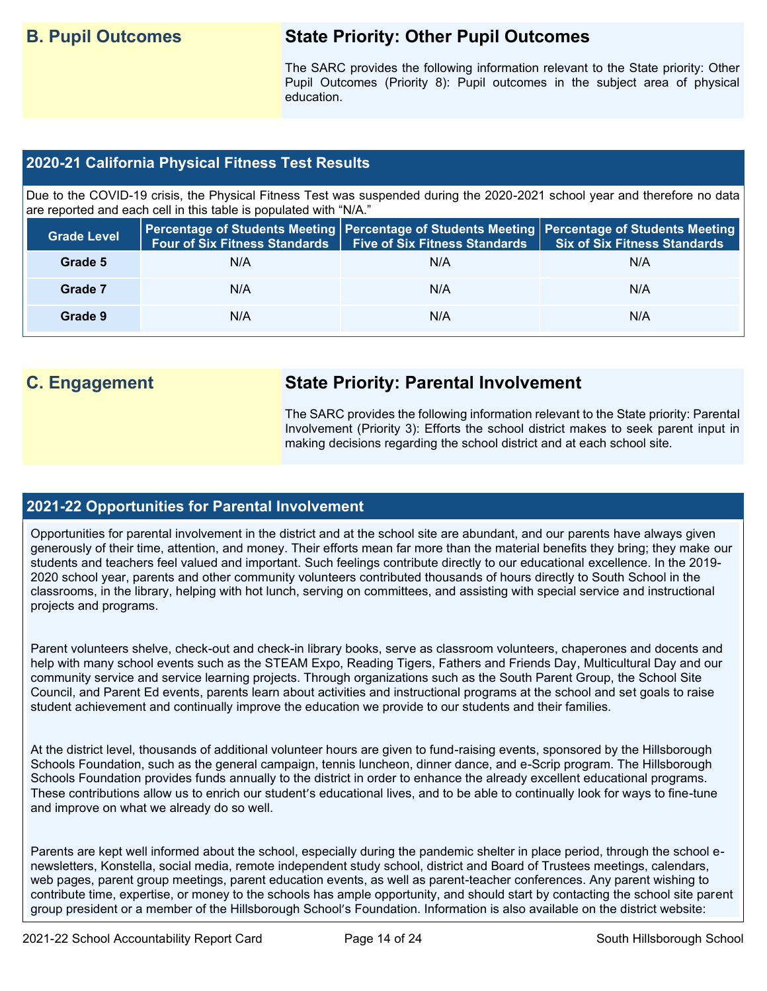## **B. Pupil Outcomes State Priority: Other Pupil Outcomes**

The SARC provides the following information relevant to the State priority: Other Pupil Outcomes (Priority 8): Pupil outcomes in the subject area of physical education.

### **2020-21 California Physical Fitness Test Results**

Due to the COVID-19 crisis, the Physical Fitness Test was suspended during the 2020-2021 school year and therefore no data are reported and each cell in this table is populated with "N/A."

| <b>Grade Level</b> | <b>Four of Six Fitness Standards</b> | <b>Five of Six Fitness Standards</b> | Percentage of Students Meeting   Percentage of Students Meeting   Percentage of Students Meeting  <br><b>Six of Six Fitness Standards</b> |
|--------------------|--------------------------------------|--------------------------------------|-------------------------------------------------------------------------------------------------------------------------------------------|
| Grade 5            | N/A                                  | N/A                                  | N/A                                                                                                                                       |
| Grade 7            | N/A                                  | N/A                                  | N/A                                                                                                                                       |
| Grade 9            | N/A                                  | N/A                                  | N/A                                                                                                                                       |

## **C. Engagement State Priority: Parental Involvement**

The SARC provides the following information relevant to the State priority: Parental Involvement (Priority 3): Efforts the school district makes to seek parent input in making decisions regarding the school district and at each school site.

### **2021-22 Opportunities for Parental Involvement**

Opportunities for parental involvement in the district and at the school site are abundant, and our parents have always given generously of their time, attention, and money. Their efforts mean far more than the material benefits they bring; they make our students and teachers feel valued and important. Such feelings contribute directly to our educational excellence. In the 2019- 2020 school year, parents and other community volunteers contributed thousands of hours directly to South School in the classrooms, in the library, helping with hot lunch, serving on committees, and assisting with special service and instructional projects and programs.

Parent volunteers shelve, check-out and check-in library books, serve as classroom volunteers, chaperones and docents and help with many school events such as the STEAM Expo, Reading Tigers, Fathers and Friends Day, Multicultural Day and our community service and service learning projects. Through organizations such as the South Parent Group, the School Site Council, and Parent Ed events, parents learn about activities and instructional programs at the school and set goals to raise student achievement and continually improve the education we provide to our students and their families.

At the district level, thousands of additional volunteer hours are given to fund-raising events, sponsored by the Hillsborough Schools Foundation, such as the general campaign, tennis luncheon, dinner dance, and e-Scrip program. The Hillsborough Schools Foundation provides funds annually to the district in order to enhance the already excellent educational programs. These contributions allow us to enrich our student's educational lives, and to be able to continually look for ways to fine-tune and improve on what we already do so well.

Parents are kept well informed about the school, especially during the pandemic shelter in place period, through the school enewsletters, Konstella, social media, remote independent study school, district and Board of Trustees meetings, calendars, web pages, parent group meetings, parent education events, as well as parent-teacher conferences. Any parent wishing to contribute time, expertise, or money to the schools has ample opportunity, and should start by contacting the school site parent group president or a member of the Hillsborough School's Foundation. Information is also available on the district website: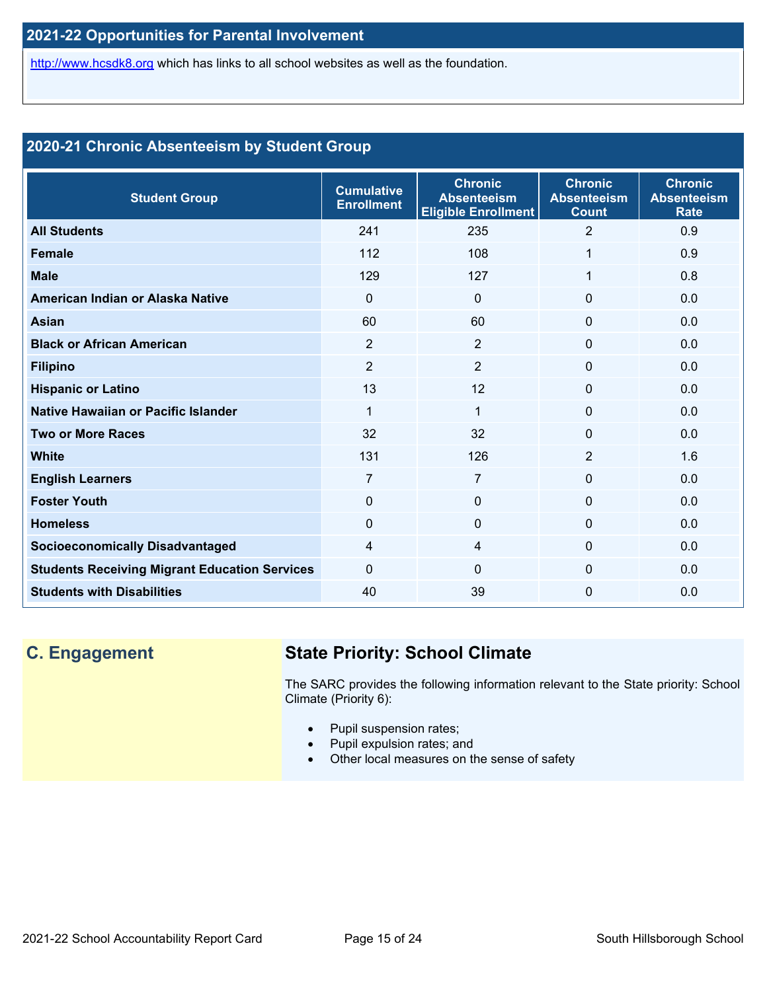[http://www.hcsdk8.org](http://www.hcsdk8.org/) which has links to all school websites as well as the foundation.

### **2020-21 Chronic Absenteeism by Student Group**

| <b>Student Group</b>                                 | <b>Cumulative</b><br><b>Enrollment</b> | <b>Chronic</b><br><b>Absenteeism</b><br><b>Eligible Enrollment</b> | <b>Chronic</b><br><b>Absenteeism</b><br><b>Count</b> | <b>Chronic</b><br><b>Absenteeism</b><br><b>Rate</b> |
|------------------------------------------------------|----------------------------------------|--------------------------------------------------------------------|------------------------------------------------------|-----------------------------------------------------|
| <b>All Students</b>                                  | 241                                    | 235                                                                | 2                                                    | 0.9                                                 |
| <b>Female</b>                                        | 112                                    | 108                                                                | 1                                                    | 0.9                                                 |
| <b>Male</b>                                          | 129                                    | 127                                                                | 1                                                    | 0.8                                                 |
| American Indian or Alaska Native                     | $\Omega$                               | $\Omega$                                                           | $\Omega$                                             | 0.0                                                 |
| <b>Asian</b>                                         | 60                                     | 60                                                                 | $\Omega$                                             | 0.0                                                 |
| <b>Black or African American</b>                     | $\overline{2}$                         | 2                                                                  | $\Omega$                                             | 0.0                                                 |
| <b>Filipino</b>                                      | $\overline{2}$                         | $\overline{2}$                                                     | $\Omega$                                             | 0.0                                                 |
| <b>Hispanic or Latino</b>                            | 13                                     | 12                                                                 | 0                                                    | 0.0                                                 |
| Native Hawaiian or Pacific Islander                  | 1                                      | $\mathbf{1}$                                                       | 0                                                    | 0.0                                                 |
| <b>Two or More Races</b>                             | 32                                     | 32                                                                 | $\Omega$                                             | 0.0                                                 |
| <b>White</b>                                         | 131                                    | 126                                                                | $\overline{2}$                                       | 1.6                                                 |
| <b>English Learners</b>                              | 7                                      | $\overline{7}$                                                     | $\Omega$                                             | 0.0                                                 |
| <b>Foster Youth</b>                                  | $\Omega$                               | $\Omega$                                                           | $\Omega$                                             | 0.0                                                 |
| <b>Homeless</b>                                      | $\Omega$                               | $\Omega$                                                           | $\Omega$                                             | 0.0                                                 |
| <b>Socioeconomically Disadvantaged</b>               | 4                                      | $\overline{4}$                                                     | $\Omega$                                             | 0.0                                                 |
| <b>Students Receiving Migrant Education Services</b> | $\Omega$                               | $\Omega$                                                           | $\Omega$                                             | 0.0                                                 |
| <b>Students with Disabilities</b>                    | 40                                     | 39                                                                 | $\Omega$                                             | 0.0                                                 |

## **C. Engagement State Priority: School Climate**

The SARC provides the following information relevant to the State priority: School Climate (Priority 6):

- Pupil suspension rates;
- Pupil expulsion rates; and
- Other local measures on the sense of safety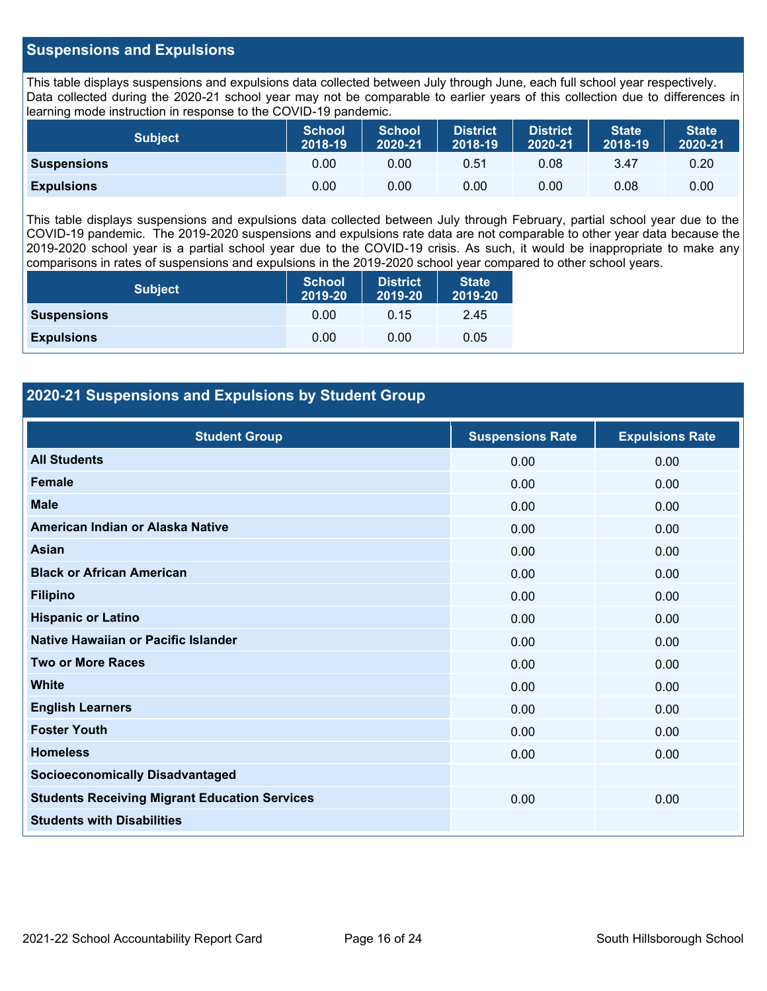### **Suspensions and Expulsions**

This table displays suspensions and expulsions data collected between July through June, each full school year respectively. Data collected during the 2020-21 school year may not be comparable to earlier years of this collection due to differences in learning mode instruction in response to the COVID-19 pandemic.

| <b>Subject</b>     | <b>School</b><br>2018-19 | <b>School</b><br>2020-21 | <b>District</b><br>2018-19 | <b>District</b><br>2020-21 | <b>State</b><br>2018-19 | <b>State</b><br>2020-21 |
|--------------------|--------------------------|--------------------------|----------------------------|----------------------------|-------------------------|-------------------------|
| <b>Suspensions</b> | 0.00                     | 0.00                     | 0.51                       | 0.08                       | 3.47                    | 0.20                    |
| <b>Expulsions</b>  | 0.00                     | 0.00                     | 0.00                       | 0.00                       | 0.08                    | 0.00                    |

This table displays suspensions and expulsions data collected between July through February, partial school year due to the COVID-19 pandemic. The 2019-2020 suspensions and expulsions rate data are not comparable to other year data because the 2019-2020 school year is a partial school year due to the COVID-19 crisis. As such, it would be inappropriate to make any comparisons in rates of suspensions and expulsions in the 2019-2020 school year compared to other school years.

| <b>Subject</b>     | <b>School</b><br>2019-20 | <b>District</b><br>2019-20 | <b>State</b><br>2019-20 |
|--------------------|--------------------------|----------------------------|-------------------------|
| <b>Suspensions</b> | 0.00                     | 0.15                       | 2.45                    |
| <b>Expulsions</b>  | 0.00                     | 0.00                       | 0.05                    |

### **2020-21 Suspensions and Expulsions by Student Group**

| <b>Student Group</b>                                 | <b>Suspensions Rate</b> | <b>Expulsions Rate</b> |
|------------------------------------------------------|-------------------------|------------------------|
| <b>All Students</b>                                  | 0.00                    | 0.00                   |
| Female                                               | 0.00                    | 0.00                   |
| <b>Male</b>                                          | 0.00                    | 0.00                   |
| American Indian or Alaska Native                     | 0.00                    | 0.00                   |
| Asian                                                | 0.00                    | 0.00                   |
| <b>Black or African American</b>                     | 0.00                    | 0.00                   |
| <b>Filipino</b>                                      | 0.00                    | 0.00                   |
| <b>Hispanic or Latino</b>                            | 0.00                    | 0.00                   |
| Native Hawaiian or Pacific Islander                  | 0.00                    | 0.00                   |
| <b>Two or More Races</b>                             | 0.00                    | 0.00                   |
| <b>White</b>                                         | 0.00                    | 0.00                   |
| <b>English Learners</b>                              | 0.00                    | 0.00                   |
| <b>Foster Youth</b>                                  | 0.00                    | 0.00                   |
| <b>Homeless</b>                                      | 0.00                    | 0.00                   |
| <b>Socioeconomically Disadvantaged</b>               |                         |                        |
| <b>Students Receiving Migrant Education Services</b> | 0.00                    | 0.00                   |
| <b>Students with Disabilities</b>                    |                         |                        |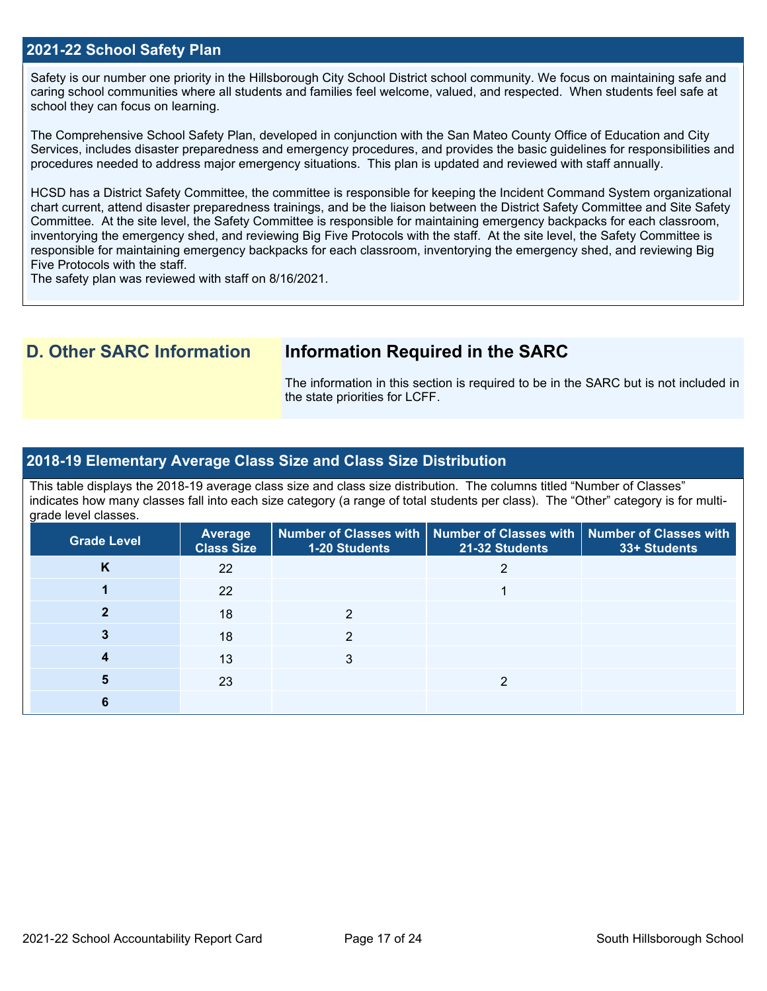### **2021-22 School Safety Plan**

Safety is our number one priority in the Hillsborough City School District school community. We focus on maintaining safe and caring school communities where all students and families feel welcome, valued, and respected. When students feel safe at school they can focus on learning.

The Comprehensive School Safety Plan, developed in conjunction with the San Mateo County Office of Education and City Services, includes disaster preparedness and emergency procedures, and provides the basic guidelines for responsibilities and procedures needed to address major emergency situations. This plan is updated and reviewed with staff annually.

HCSD has a District Safety Committee, the committee is responsible for keeping the Incident Command System organizational chart current, attend disaster preparedness trainings, and be the liaison between the District Safety Committee and Site Safety Committee. At the site level, the Safety Committee is responsible for maintaining emergency backpacks for each classroom, inventorying the emergency shed, and reviewing Big Five Protocols with the staff. At the site level, the Safety Committee is responsible for maintaining emergency backpacks for each classroom, inventorying the emergency shed, and reviewing Big Five Protocols with the staff.

The safety plan was reviewed with staff on 8/16/2021.

### **D. Other SARC Information Information Required in the SARC**

The information in this section is required to be in the SARC but is not included in the state priorities for LCFF.

### **2018-19 Elementary Average Class Size and Class Size Distribution**

This table displays the 2018-19 average class size and class size distribution. The columns titled "Number of Classes" indicates how many classes fall into each size category (a range of total students per class). The "Other" category is for multigrade level classes.

| <b>Grade Level</b> | <b>Average</b><br><b>Class Size</b> | <b>1-20 Students</b> | Number of Classes with   Number of Classes with   Number of Classes with<br>21-32 Students | 33+ Students |
|--------------------|-------------------------------------|----------------------|--------------------------------------------------------------------------------------------|--------------|
| K                  | 22                                  |                      | っ                                                                                          |              |
|                    | 22                                  |                      |                                                                                            |              |
| 2                  | 18                                  | 2                    |                                                                                            |              |
|                    | 18                                  | 2                    |                                                                                            |              |
|                    | 13                                  | 3                    |                                                                                            |              |
|                    | 23                                  |                      | ◠                                                                                          |              |
|                    |                                     |                      |                                                                                            |              |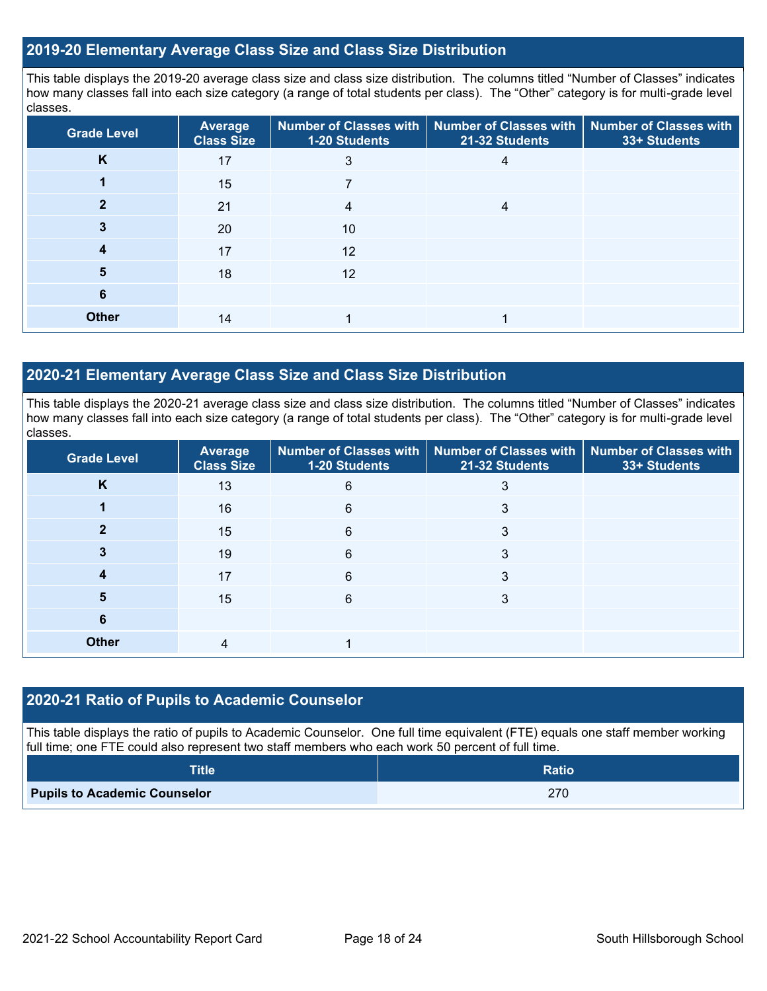### **2019-20 Elementary Average Class Size and Class Size Distribution**

This table displays the 2019-20 average class size and class size distribution. The columns titled "Number of Classes" indicates how many classes fall into each size category (a range of total students per class). The "Other" category is for multi-grade level classes.

| <b>Grade Level</b> | Average<br><b>Class Size</b> | 1-20 Students | Number of Classes with   Number of Classes with  <br>21-32 Students | <b>Number of Classes with</b><br>33+ Students |
|--------------------|------------------------------|---------------|---------------------------------------------------------------------|-----------------------------------------------|
| K                  | 17                           | 3             | 4                                                                   |                                               |
|                    | 15                           |               |                                                                     |                                               |
|                    | 21                           | 4             | 4                                                                   |                                               |
|                    | 20                           | 10            |                                                                     |                                               |
|                    | 17                           | 12            |                                                                     |                                               |
| 5                  | 18                           | 12            |                                                                     |                                               |
| 6                  |                              |               |                                                                     |                                               |
| <b>Other</b>       | 14                           |               |                                                                     |                                               |

### **2020-21 Elementary Average Class Size and Class Size Distribution**

This table displays the 2020-21 average class size and class size distribution. The columns titled "Number of Classes" indicates how many classes fall into each size category (a range of total students per class). The "Other" category is for multi-grade level classes.

| <b>Grade Level</b> | <b>Average</b><br><b>Class Size</b> | 1-20 Students | Number of Classes with   Number of Classes with  <br>21-32 Students | Number of Classes with<br>33+ Students |
|--------------------|-------------------------------------|---------------|---------------------------------------------------------------------|----------------------------------------|
| K                  | 13                                  | 6             | 3                                                                   |                                        |
|                    | 16                                  | 6             | 3                                                                   |                                        |
|                    | 15                                  | 6             | 3                                                                   |                                        |
|                    | 19                                  | 6             | 3                                                                   |                                        |
|                    | 17                                  | 6             | 3                                                                   |                                        |
| 5                  | 15                                  | 6             | 3                                                                   |                                        |
| 6                  |                                     |               |                                                                     |                                        |
| <b>Other</b>       | 4                                   |               |                                                                     |                                        |

### **2020-21 Ratio of Pupils to Academic Counselor**

This table displays the ratio of pupils to Academic Counselor. One full time equivalent (FTE) equals one staff member working full time; one FTE could also represent two staff members who each work 50 percent of full time.

| <b>Title</b>                        | <b>Ratio</b> |
|-------------------------------------|--------------|
| <b>Pupils to Academic Counselor</b> | 270          |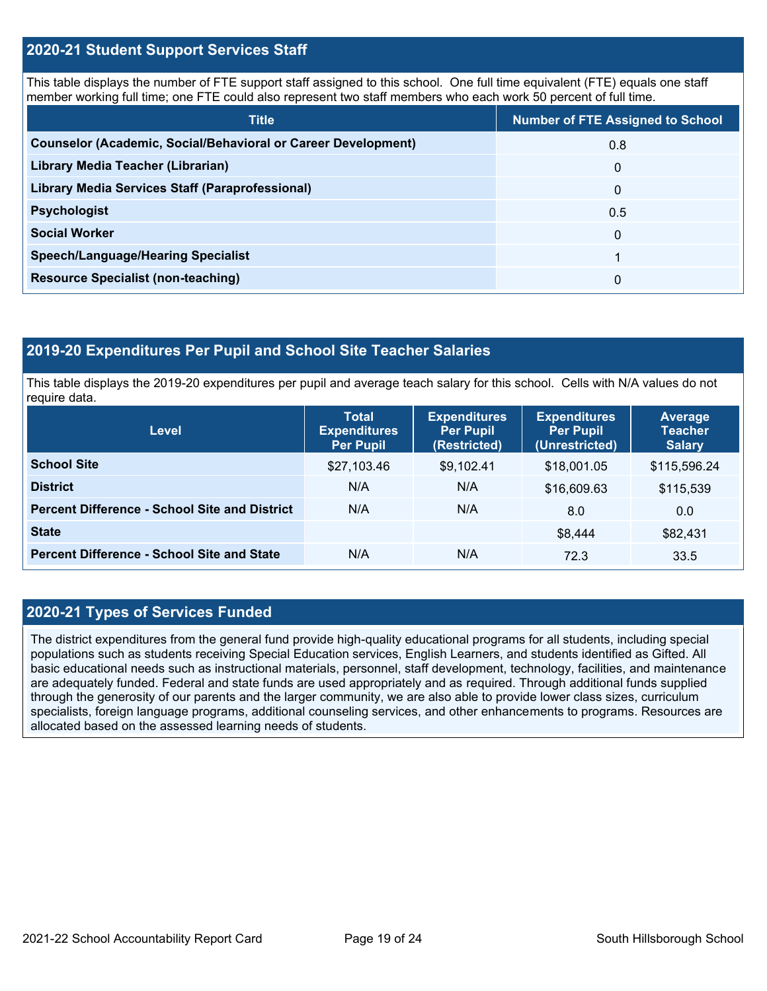### **2020-21 Student Support Services Staff**

This table displays the number of FTE support staff assigned to this school. One full time equivalent (FTE) equals one staff member working full time; one FTE could also represent two staff members who each work 50 percent of full time.

| <b>Title</b>                                                         | <b>Number of FTE Assigned to School</b> |
|----------------------------------------------------------------------|-----------------------------------------|
| <b>Counselor (Academic, Social/Behavioral or Career Development)</b> | 0.8                                     |
| Library Media Teacher (Librarian)                                    | 0                                       |
| Library Media Services Staff (Paraprofessional)                      | $\Omega$                                |
| <b>Psychologist</b>                                                  | 0.5                                     |
| <b>Social Worker</b>                                                 | $\mathbf{0}$                            |
| <b>Speech/Language/Hearing Specialist</b>                            | 1                                       |
| <b>Resource Specialist (non-teaching)</b>                            | 0                                       |

### **2019-20 Expenditures Per Pupil and School Site Teacher Salaries**

This table displays the 2019-20 expenditures per pupil and average teach salary for this school. Cells with N/A values do not require data.

| <b>Level</b>                                         | <b>Total</b><br><b>Expenditures</b><br><b>Per Pupil</b> | <b>Expenditures</b><br><b>Per Pupil</b><br>(Restricted) | <b>Expenditures</b><br><b>Per Pupil</b><br>(Unrestricted) | Average<br><b>Teacher</b><br><b>Salary</b> |
|------------------------------------------------------|---------------------------------------------------------|---------------------------------------------------------|-----------------------------------------------------------|--------------------------------------------|
| <b>School Site</b>                                   | \$27,103.46                                             | \$9,102.41                                              | \$18,001.05                                               | \$115,596.24                               |
| <b>District</b>                                      | N/A                                                     | N/A                                                     | \$16,609.63                                               | \$115,539                                  |
| <b>Percent Difference - School Site and District</b> | N/A                                                     | N/A                                                     | 8.0                                                       | 0.0                                        |
| <b>State</b>                                         |                                                         |                                                         | \$8,444                                                   | \$82,431                                   |
| <b>Percent Difference - School Site and State</b>    | N/A                                                     | N/A                                                     | 72.3                                                      | 33.5                                       |

### **2020-21 Types of Services Funded**

The district expenditures from the general fund provide high-quality educational programs for all students, including special populations such as students receiving Special Education services, English Learners, and students identified as Gifted. All basic educational needs such as instructional materials, personnel, staff development, technology, facilities, and maintenance are adequately funded. Federal and state funds are used appropriately and as required. Through additional funds supplied through the generosity of our parents and the larger community, we are also able to provide lower class sizes, curriculum specialists, foreign language programs, additional counseling services, and other enhancements to programs. Resources are allocated based on the assessed learning needs of students.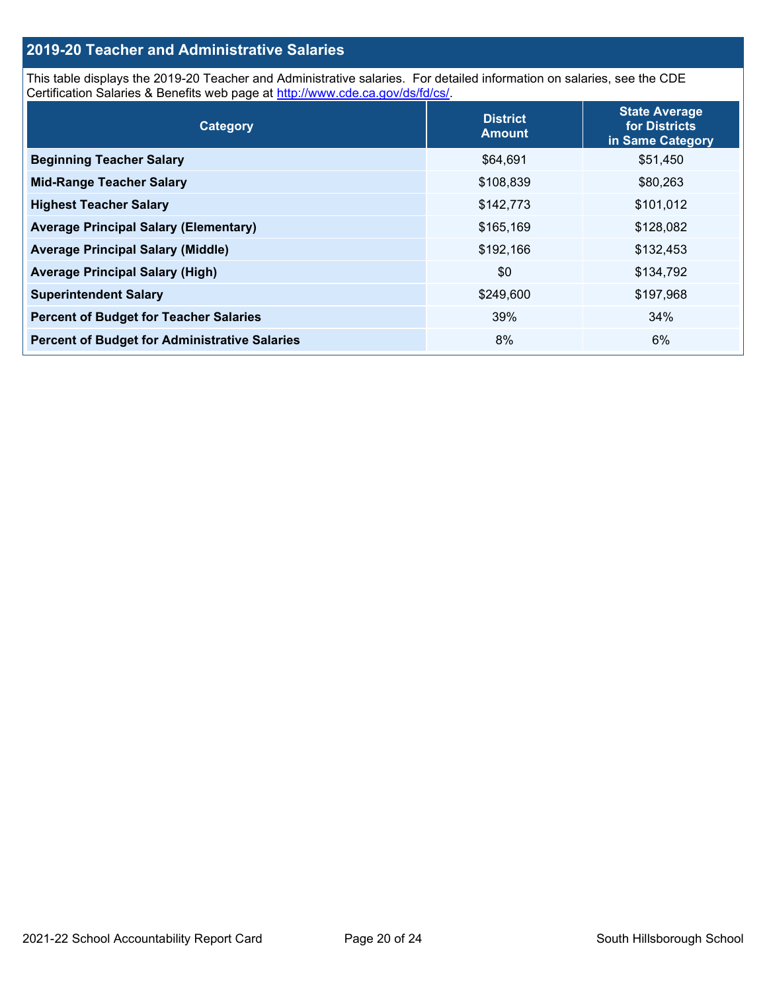### **2019-20 Teacher and Administrative Salaries**

This table displays the 2019-20 Teacher and Administrative salaries. For detailed information on salaries, see the CDE Certification Salaries & Benefits web page at [http://www.cde.ca.gov/ds/fd/cs/.](http://www.cde.ca.gov/ds/fd/cs/)

| Category                                             | <b>District</b><br><b>Amount</b> | <b>State Average</b><br>for Districts<br>in Same Category |
|------------------------------------------------------|----------------------------------|-----------------------------------------------------------|
| <b>Beginning Teacher Salary</b>                      | \$64,691                         | \$51,450                                                  |
| <b>Mid-Range Teacher Salary</b>                      | \$108,839                        | \$80,263                                                  |
| <b>Highest Teacher Salary</b>                        | \$142,773                        | \$101,012                                                 |
| <b>Average Principal Salary (Elementary)</b>         | \$165,169                        | \$128,082                                                 |
| <b>Average Principal Salary (Middle)</b>             | \$192,166                        | \$132,453                                                 |
| <b>Average Principal Salary (High)</b>               | \$0                              | \$134,792                                                 |
| <b>Superintendent Salary</b>                         | \$249,600                        | \$197,968                                                 |
| <b>Percent of Budget for Teacher Salaries</b>        | 39%                              | 34%                                                       |
| <b>Percent of Budget for Administrative Salaries</b> | 8%                               | 6%                                                        |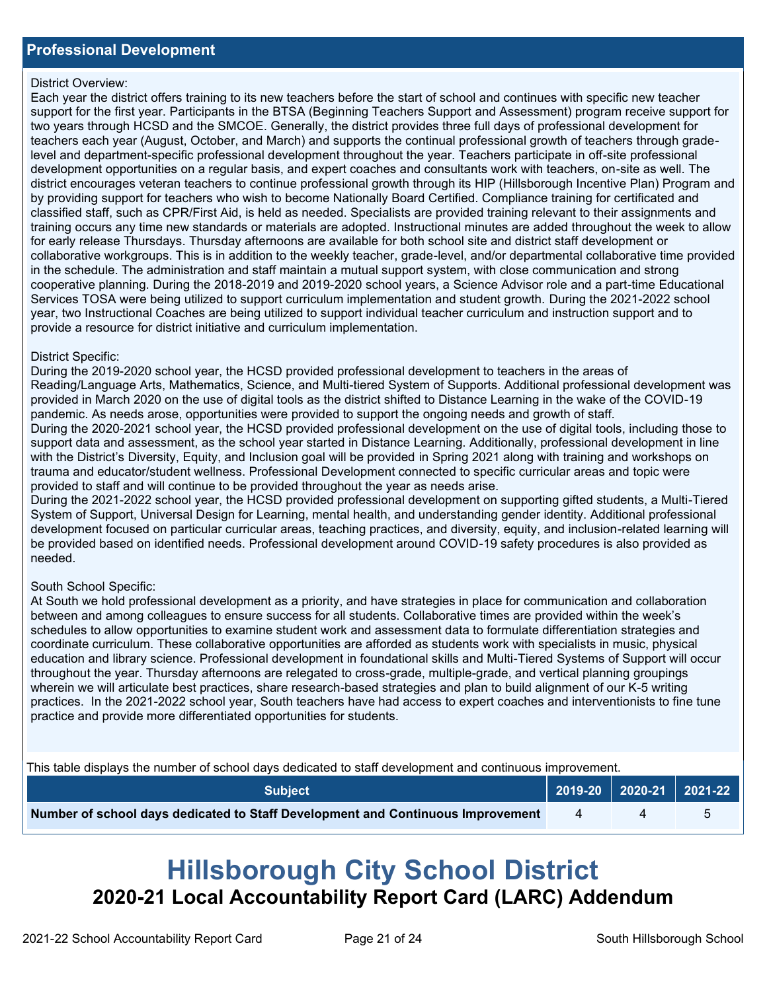### District Overview:

Each year the district offers training to its new teachers before the start of school and continues with specific new teacher support for the first year. Participants in the BTSA (Beginning Teachers Support and Assessment) program receive support for two years through HCSD and the SMCOE. Generally, the district provides three full days of professional development for teachers each year (August, October, and March) and supports the continual professional growth of teachers through gradelevel and department-specific professional development throughout the year. Teachers participate in off-site professional development opportunities on a regular basis, and expert coaches and consultants work with teachers, on-site as well. The district encourages veteran teachers to continue professional growth through its HIP (Hillsborough Incentive Plan) Program and by providing support for teachers who wish to become Nationally Board Certified. Compliance training for certificated and classified staff, such as CPR/First Aid, is held as needed. Specialists are provided training relevant to their assignments and training occurs any time new standards or materials are adopted. Instructional minutes are added throughout the week to allow for early release Thursdays. Thursday afternoons are available for both school site and district staff development or collaborative workgroups. This is in addition to the weekly teacher, grade-level, and/or departmental collaborative time provided in the schedule. The administration and staff maintain a mutual support system, with close communication and strong cooperative planning. During the 2018-2019 and 2019-2020 school years, a Science Advisor role and a part-time Educational Services TOSA were being utilized to support curriculum implementation and student growth. During the 2021-2022 school year, two Instructional Coaches are being utilized to support individual teacher curriculum and instruction support and to provide a resource for district initiative and curriculum implementation.

### District Specific:

During the 2019-2020 school year, the HCSD provided professional development to teachers in the areas of Reading/Language Arts, Mathematics, Science, and Multi-tiered System of Supports. Additional professional development was provided in March 2020 on the use of digital tools as the district shifted to Distance Learning in the wake of the COVID-19 pandemic. As needs arose, opportunities were provided to support the ongoing needs and growth of staff. During the 2020-2021 school year, the HCSD provided professional development on the use of digital tools, including those to support data and assessment, as the school year started in Distance Learning. Additionally, professional development in line with the District's Diversity, Equity, and Inclusion goal will be provided in Spring 2021 along with training and workshops on trauma and educator/student wellness. Professional Development connected to specific curricular areas and topic were provided to staff and will continue to be provided throughout the year as needs arise.

During the 2021-2022 school year, the HCSD provided professional development on supporting gifted students, a Multi-Tiered System of Support, Universal Design for Learning, mental health, and understanding gender identity. Additional professional development focused on particular curricular areas, teaching practices, and diversity, equity, and inclusion-related learning will be provided based on identified needs. Professional development around COVID-19 safety procedures is also provided as needed.

### South School Specific:

At South we hold professional development as a priority, and have strategies in place for communication and collaboration between and among colleagues to ensure success for all students. Collaborative times are provided within the week's schedules to allow opportunities to examine student work and assessment data to formulate differentiation strategies and coordinate curriculum. These collaborative opportunities are afforded as students work with specialists in music, physical education and library science. Professional development in foundational skills and Multi-Tiered Systems of Support will occur throughout the year. Thursday afternoons are relegated to cross-grade, multiple-grade, and vertical planning groupings wherein we will articulate best practices, share research-based strategies and plan to build alignment of our K-5 writing practices. In the 2021-2022 school year, South teachers have had access to expert coaches and interventionists to fine tune practice and provide more differentiated opportunities for students.

This table displays the number of school days dedicated to staff development and continuous improvement.

| <b>Subiect</b>                                                                  | $\vert$ 2019-20 $\vert$ 2020-21 $\vert$ 2021-22 $\vert$ |  |
|---------------------------------------------------------------------------------|---------------------------------------------------------|--|
| Number of school days dedicated to Staff Development and Continuous Improvement |                                                         |  |

# **Hillsborough City School District 2020-21 Local Accountability Report Card (LARC) Addendum**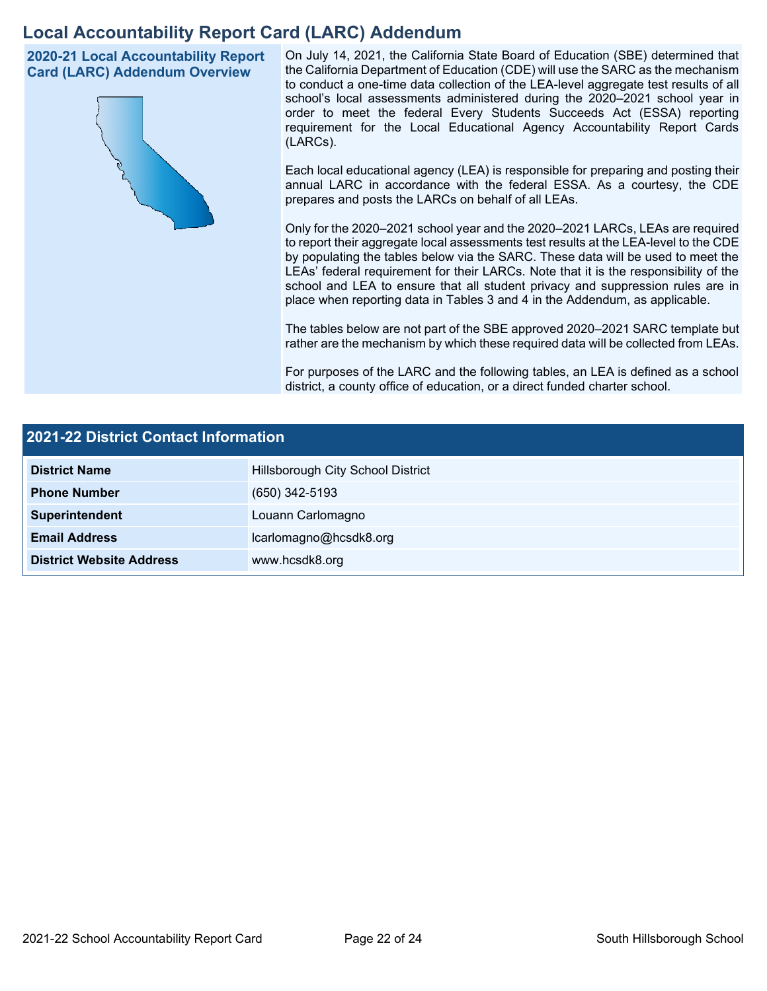## **Local Accountability Report Card (LARC) Addendum**

**2020-21 Local Accountability Report Card (LARC) Addendum Overview**



On July 14, 2021, the California State Board of Education (SBE) determined that the California Department of Education (CDE) will use the SARC as the mechanism to conduct a one-time data collection of the LEA-level aggregate test results of all school's local assessments administered during the 2020–2021 school year in order to meet the federal Every Students Succeeds Act (ESSA) reporting requirement for the Local Educational Agency Accountability Report Cards (LARCs).

Each local educational agency (LEA) is responsible for preparing and posting their annual LARC in accordance with the federal ESSA. As a courtesy, the CDE prepares and posts the LARCs on behalf of all LEAs.

Only for the 2020–2021 school year and the 2020–2021 LARCs, LEAs are required to report their aggregate local assessments test results at the LEA-level to the CDE by populating the tables below via the SARC. These data will be used to meet the LEAs' federal requirement for their LARCs. Note that it is the responsibility of the school and LEA to ensure that all student privacy and suppression rules are in place when reporting data in Tables 3 and 4 in the Addendum, as applicable.

The tables below are not part of the SBE approved 2020–2021 SARC template but rather are the mechanism by which these required data will be collected from LEAs.

For purposes of the LARC and the following tables, an LEA is defined as a school district, a county office of education, or a direct funded charter school.

| 2021-22 District Contact Information |                                   |  |  |  |
|--------------------------------------|-----------------------------------|--|--|--|
| <b>District Name</b>                 | Hillsborough City School District |  |  |  |
| <b>Phone Number</b>                  | (650) 342-5193                    |  |  |  |
| Superintendent                       | Louann Carlomagno                 |  |  |  |
| <b>Email Address</b>                 | lcarlomagno@hcsdk8.org            |  |  |  |
| <b>District Website Address</b>      | www.hcsdk8.org                    |  |  |  |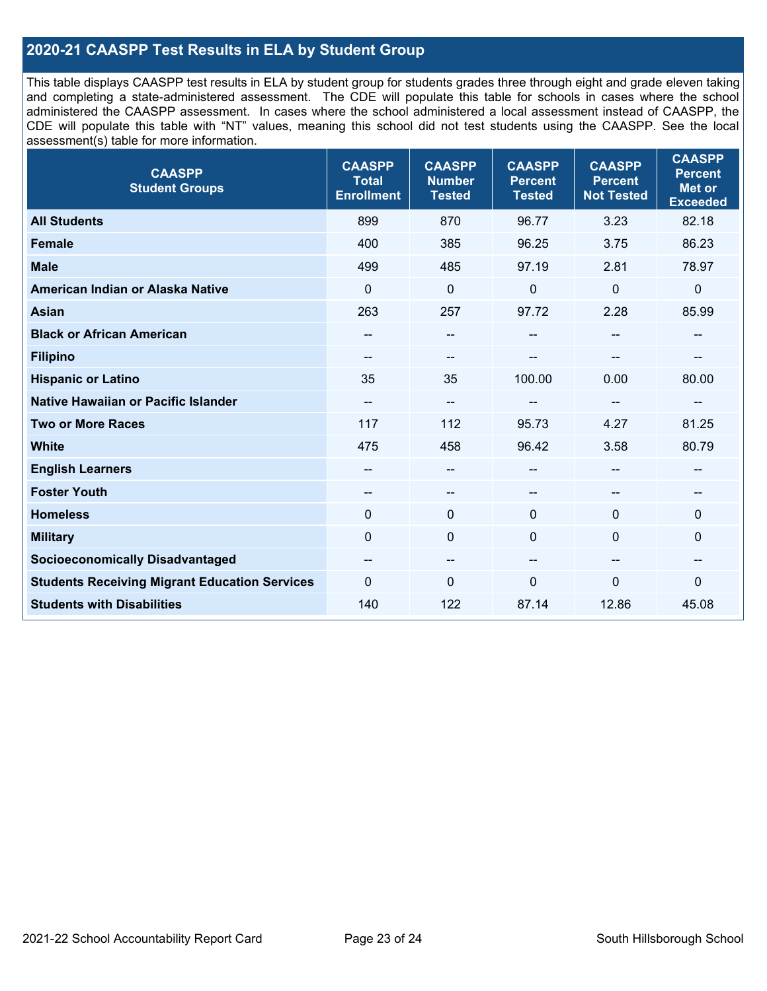### **2020-21 CAASPP Test Results in ELA by Student Group**

This table displays CAASPP test results in ELA by student group for students grades three through eight and grade eleven taking and completing a state-administered assessment. The CDE will populate this table for schools in cases where the school administered the CAASPP assessment. In cases where the school administered a local assessment instead of CAASPP, the CDE will populate this table with "NT" values, meaning this school did not test students using the CAASPP. See the local assessment(s) table for more information.

| <b>CAASPP</b><br><b>Student Groups</b>               | <b>CAASPP</b><br><b>Total</b><br><b>Enrollment</b> | <b>CAASPP</b><br><b>Number</b><br><b>Tested</b> | <b>CAASPP</b><br><b>Percent</b><br><b>Tested</b> | <b>CAASPP</b><br><b>Percent</b><br><b>Not Tested</b> | <b>CAASPP</b><br><b>Percent</b><br><b>Met or</b><br><b>Exceeded</b> |
|------------------------------------------------------|----------------------------------------------------|-------------------------------------------------|--------------------------------------------------|------------------------------------------------------|---------------------------------------------------------------------|
| <b>All Students</b>                                  | 899                                                | 870                                             | 96.77                                            | 3.23                                                 | 82.18                                                               |
| <b>Female</b>                                        | 400                                                | 385                                             | 96.25                                            | 3.75                                                 | 86.23                                                               |
| <b>Male</b>                                          | 499                                                | 485                                             | 97.19                                            | 2.81                                                 | 78.97                                                               |
| American Indian or Alaska Native                     | $\mathbf 0$                                        | $\pmb{0}$                                       | $\pmb{0}$                                        | 0                                                    | $\pmb{0}$                                                           |
| <b>Asian</b>                                         | 263                                                | 257                                             | 97.72                                            | 2.28                                                 | 85.99                                                               |
| <b>Black or African American</b>                     |                                                    | --                                              | --                                               | --                                                   | $\overline{\phantom{a}}$                                            |
| <b>Filipino</b>                                      |                                                    | --                                              |                                                  |                                                      |                                                                     |
| <b>Hispanic or Latino</b>                            | 35                                                 | 35                                              | 100.00                                           | 0.00                                                 | 80.00                                                               |
| Native Hawaiian or Pacific Islander                  | --                                                 | --                                              | --                                               | --                                                   | $\overline{\phantom{a}}$                                            |
| <b>Two or More Races</b>                             | 117                                                | 112                                             | 95.73                                            | 4.27                                                 | 81.25                                                               |
| <b>White</b>                                         | 475                                                | 458                                             | 96.42                                            | 3.58                                                 | 80.79                                                               |
| <b>English Learners</b>                              | --                                                 | --                                              | --                                               | --                                                   | --                                                                  |
| <b>Foster Youth</b>                                  | --                                                 | $\qquad \qquad -$                               | --                                               | --                                                   | --                                                                  |
| <b>Homeless</b>                                      | $\mathbf{0}$                                       | $\mathbf 0$                                     | $\mathbf 0$                                      | $\Omega$                                             | $\mathbf 0$                                                         |
| <b>Military</b>                                      | $\mathbf{0}$                                       | $\mathbf 0$                                     | $\mathbf 0$                                      | 0                                                    | $\mathbf 0$                                                         |
| <b>Socioeconomically Disadvantaged</b>               | $\overline{\phantom{m}}$                           | --                                              | --                                               | --                                                   | --                                                                  |
| <b>Students Receiving Migrant Education Services</b> | $\mathbf{0}$                                       | 0                                               | $\mathbf 0$                                      | $\mathbf{0}$                                         | 0                                                                   |
| <b>Students with Disabilities</b>                    | 140                                                | 122                                             | 87.14                                            | 12.86                                                | 45.08                                                               |